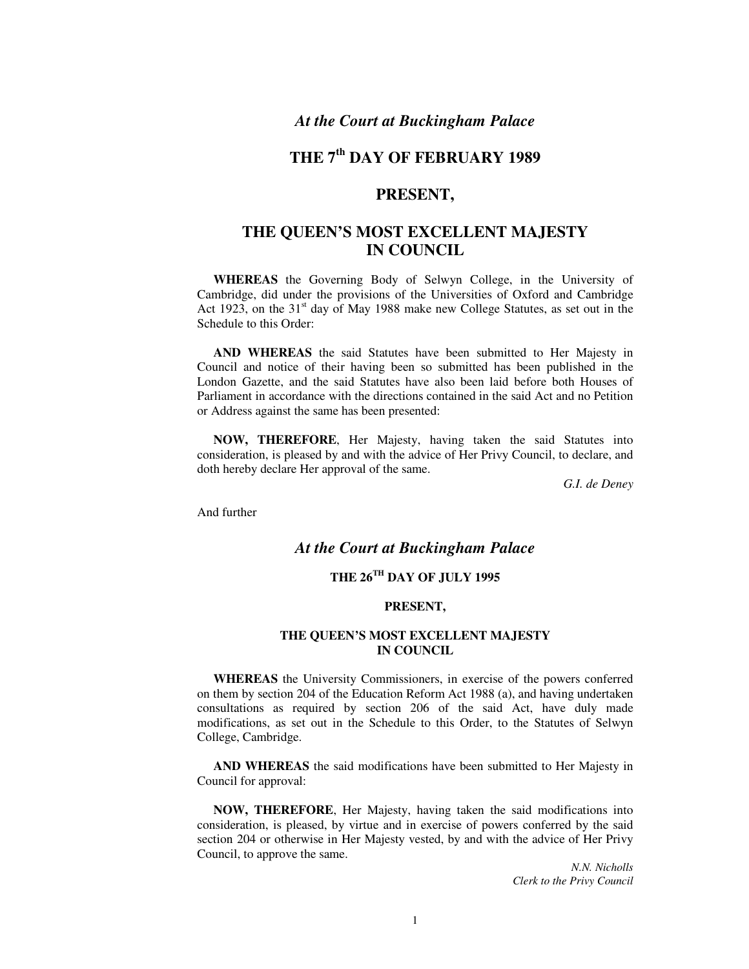# *At the Court at Buckingham Palace*

# **THE 7th DAY OF FEBRUARY 1989**

# **PRESENT,**

# **THE QUEEN'S MOST EXCELLENT MAJESTY IN COUNCIL**

**WHEREAS** the Governing Body of Selwyn College, in the University of Cambridge, did under the provisions of the Universities of Oxford and Cambridge Act 1923, on the  $31<sup>st</sup>$  day of May 1988 make new College Statutes, as set out in the Schedule to this Order:

**AND WHEREAS** the said Statutes have been submitted to Her Majesty in Council and notice of their having been so submitted has been published in the London Gazette, and the said Statutes have also been laid before both Houses of Parliament in accordance with the directions contained in the said Act and no Petition or Address against the same has been presented:

**NOW, THEREFORE**, Her Majesty, having taken the said Statutes into consideration, is pleased by and with the advice of Her Privy Council, to declare, and doth hereby declare Her approval of the same.

*G.I. de Deney* 

And further

## *At the Court at Buckingham Palace*

## **THE 26TH DAY OF JULY 1995**

#### **PRESENT,**

#### **THE QUEEN'S MOST EXCELLENT MAJESTY IN COUNCIL**

**WHEREAS** the University Commissioners, in exercise of the powers conferred on them by section 204 of the Education Reform Act 1988 (a), and having undertaken consultations as required by section 206 of the said Act, have duly made modifications, as set out in the Schedule to this Order, to the Statutes of Selwyn College, Cambridge.

**AND WHEREAS** the said modifications have been submitted to Her Majesty in Council for approval:

**NOW, THEREFORE**, Her Majesty, having taken the said modifications into consideration, is pleased, by virtue and in exercise of powers conferred by the said section 204 or otherwise in Her Majesty vested, by and with the advice of Her Privy Council, to approve the same.

> *N.N. Nicholls Clerk to the Privy Council*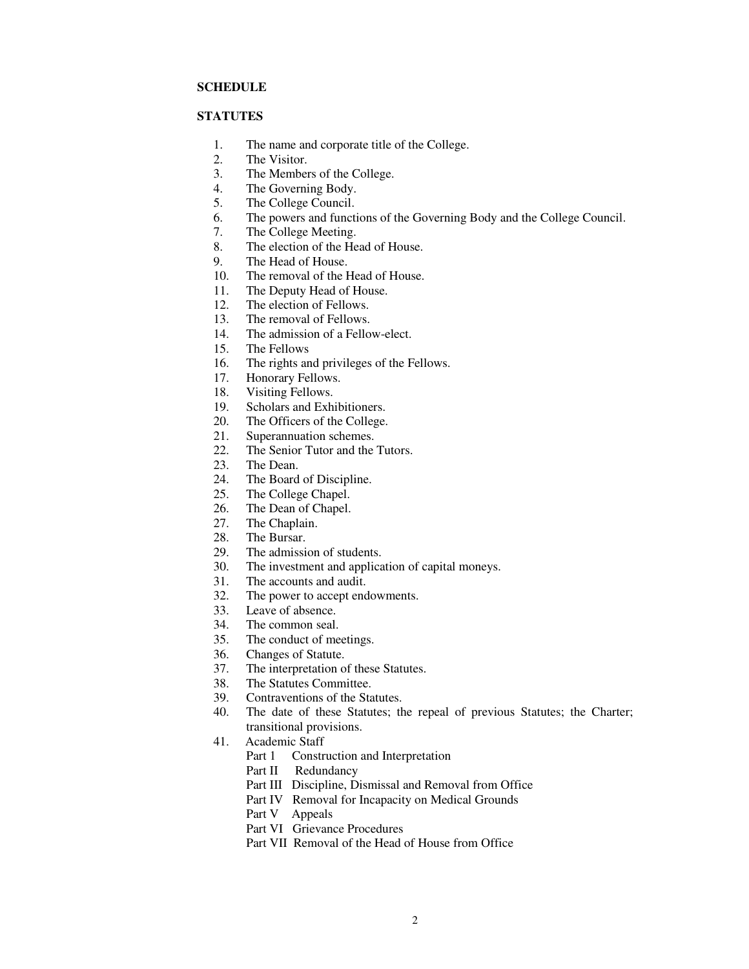#### **SCHEDULE**

## **STATUTES**

- 1. The name and corporate title of the College.
- 2. The Visitor.<br>3. The Member
- The Members of the College.
- 4. The Governing Body.
- 5. The College Council.
- 6. The powers and functions of the Governing Body and the College Council.
- 7. The College Meeting.
- 8. The election of the Head of House.
- 9. The Head of House.
- 10. The removal of the Head of House.
- 11. The Deputy Head of House.
- 12. The election of Fellows.
- 13. The removal of Fellows.
- 14. The admission of a Fellow-elect.
- 15. The Fellows
- 16. The rights and privileges of the Fellows.
- 17. Honorary Fellows.
- 18. Visiting Fellows.
- 19. Scholars and Exhibitioners.
- 20. The Officers of the College.
- 21. Superannuation schemes.<br>22. The Senior Tutor and the
- 22. The Senior Tutor and the Tutors.<br>23. The Dean.
- The Dean.
- 24. The Board of Discipline.
- 25. The College Chapel.
- 26. The Dean of Chapel.
- 27. The Chaplain.<br>28. The Bursar.
- 28. The Bursar.<br>29. The admissi
- The admission of students.
- 30. The investment and application of capital moneys.
- 31. The accounts and audit.
- 32. The power to accept endowments.
- 33. Leave of absence.<br>34. The common seal.
- 34. The common seal.<br>35. The conduct of me
- The conduct of meetings.
- 36. Changes of Statute.<br>37. The interpretation of
- The interpretation of these Statutes.
- 38. The Statutes Committee.
- 39. Contraventions of the Statutes.
- 40. The date of these Statutes; the repeal of previous Statutes; the Charter; transitional provisions.
- 41. Academic Staff
	- Part 1 Construction and Interpretation
	- Part II Redundancy
	- Part III Discipline, Dismissal and Removal from Office
	- Part IV Removal for Incapacity on Medical Grounds
	- Part V Appeals
	- Part VI Grievance Procedures
	- Part VII Removal of the Head of House from Office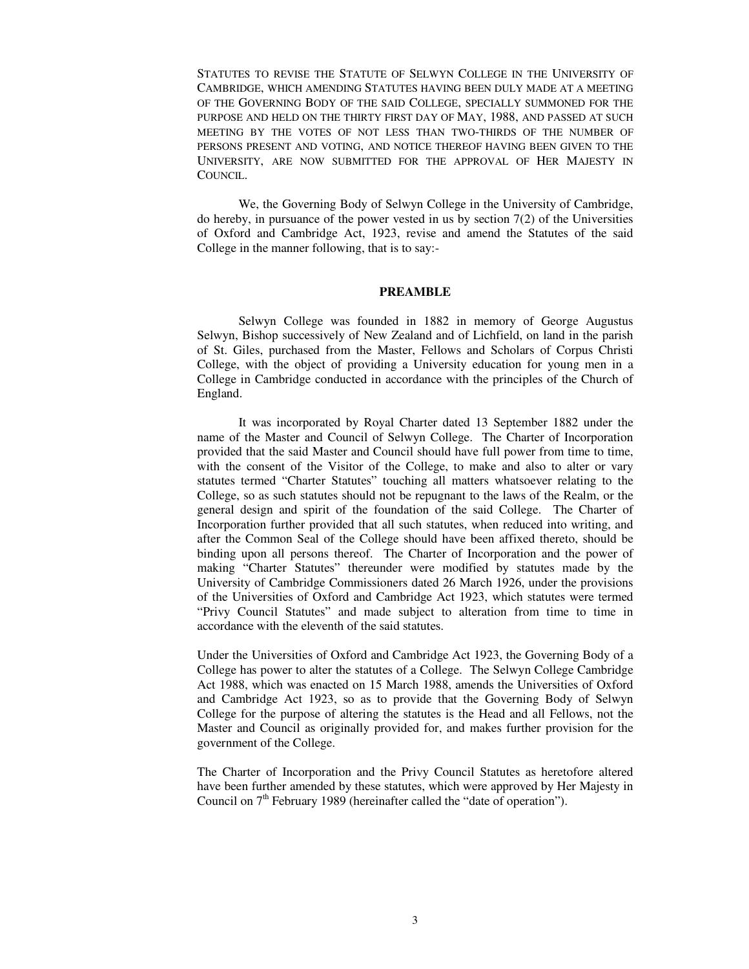STATUTES TO REVISE THE STATUTE OF SELWYN COLLEGE IN THE UNIVERSITY OF CAMBRIDGE, WHICH AMENDING STATUTES HAVING BEEN DULY MADE AT A MEETING OF THE GOVERNING BODY OF THE SAID COLLEGE, SPECIALLY SUMMONED FOR THE PURPOSE AND HELD ON THE THIRTY FIRST DAY OF MAY, 1988, AND PASSED AT SUCH MEETING BY THE VOTES OF NOT LESS THAN TWO-THIRDS OF THE NUMBER OF PERSONS PRESENT AND VOTING, AND NOTICE THEREOF HAVING BEEN GIVEN TO THE UNIVERSITY, ARE NOW SUBMITTED FOR THE APPROVAL OF HER MAJESTY IN COUNCIL.

We, the Governing Body of Selwyn College in the University of Cambridge, do hereby, in pursuance of the power vested in us by section 7(2) of the Universities of Oxford and Cambridge Act, 1923, revise and amend the Statutes of the said College in the manner following, that is to say:-

## **PREAMBLE**

Selwyn College was founded in 1882 in memory of George Augustus Selwyn, Bishop successively of New Zealand and of Lichfield, on land in the parish of St. Giles, purchased from the Master, Fellows and Scholars of Corpus Christi College, with the object of providing a University education for young men in a College in Cambridge conducted in accordance with the principles of the Church of England.

It was incorporated by Royal Charter dated 13 September 1882 under the name of the Master and Council of Selwyn College. The Charter of Incorporation provided that the said Master and Council should have full power from time to time, with the consent of the Visitor of the College, to make and also to alter or vary statutes termed "Charter Statutes" touching all matters whatsoever relating to the College, so as such statutes should not be repugnant to the laws of the Realm, or the general design and spirit of the foundation of the said College. The Charter of Incorporation further provided that all such statutes, when reduced into writing, and after the Common Seal of the College should have been affixed thereto, should be binding upon all persons thereof. The Charter of Incorporation and the power of making "Charter Statutes" thereunder were modified by statutes made by the University of Cambridge Commissioners dated 26 March 1926, under the provisions of the Universities of Oxford and Cambridge Act 1923, which statutes were termed "Privy Council Statutes" and made subject to alteration from time to time in accordance with the eleventh of the said statutes.

Under the Universities of Oxford and Cambridge Act 1923, the Governing Body of a College has power to alter the statutes of a College. The Selwyn College Cambridge Act 1988, which was enacted on 15 March 1988, amends the Universities of Oxford and Cambridge Act 1923, so as to provide that the Governing Body of Selwyn College for the purpose of altering the statutes is the Head and all Fellows, not the Master and Council as originally provided for, and makes further provision for the government of the College.

The Charter of Incorporation and the Privy Council Statutes as heretofore altered have been further amended by these statutes, which were approved by Her Majesty in Council on  $7<sup>th</sup>$  February 1989 (hereinafter called the "date of operation").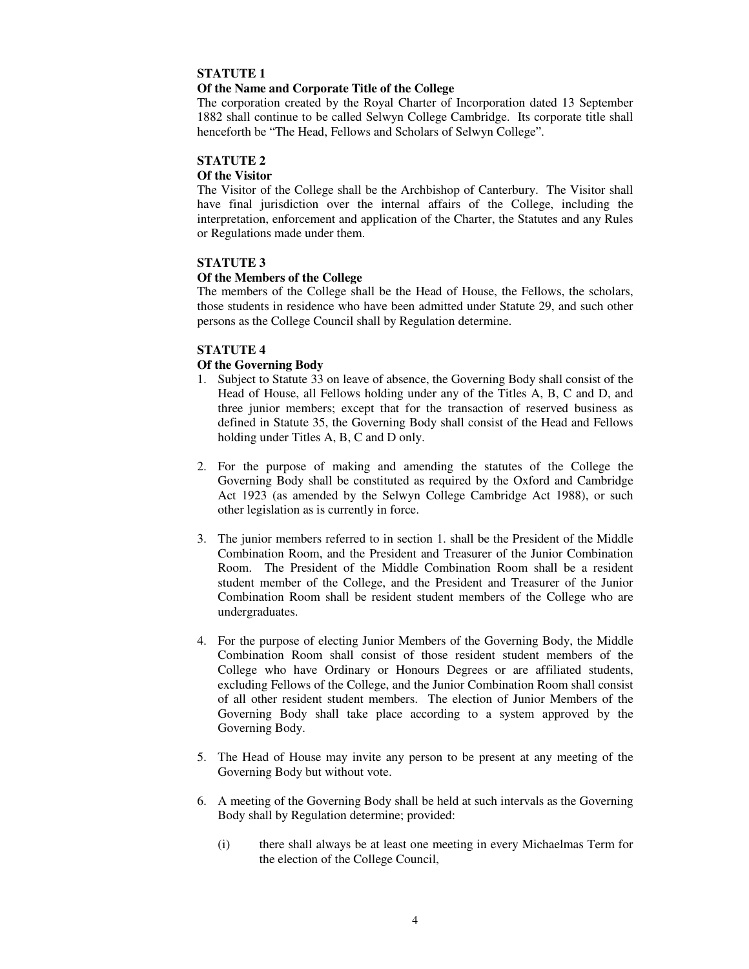#### **Of the Name and Corporate Title of the College**

The corporation created by the Royal Charter of Incorporation dated 13 September 1882 shall continue to be called Selwyn College Cambridge. Its corporate title shall henceforth be "The Head, Fellows and Scholars of Selwyn College".

## **STATUTE 2**

#### **Of the Visitor**

The Visitor of the College shall be the Archbishop of Canterbury. The Visitor shall have final jurisdiction over the internal affairs of the College, including the interpretation, enforcement and application of the Charter, the Statutes and any Rules or Regulations made under them.

#### **STATUTE 3**

#### **Of the Members of the College**

The members of the College shall be the Head of House, the Fellows, the scholars, those students in residence who have been admitted under Statute 29, and such other persons as the College Council shall by Regulation determine.

#### **STATUTE 4**

#### **Of the Governing Body**

- 1. Subject to Statute 33 on leave of absence, the Governing Body shall consist of the Head of House, all Fellows holding under any of the Titles A, B, C and D, and three junior members; except that for the transaction of reserved business as defined in Statute 35, the Governing Body shall consist of the Head and Fellows holding under Titles A, B, C and D only.
- 2. For the purpose of making and amending the statutes of the College the Governing Body shall be constituted as required by the Oxford and Cambridge Act 1923 (as amended by the Selwyn College Cambridge Act 1988), or such other legislation as is currently in force.
- 3. The junior members referred to in section 1. shall be the President of the Middle Combination Room, and the President and Treasurer of the Junior Combination Room. The President of the Middle Combination Room shall be a resident student member of the College, and the President and Treasurer of the Junior Combination Room shall be resident student members of the College who are undergraduates.
- 4. For the purpose of electing Junior Members of the Governing Body, the Middle Combination Room shall consist of those resident student members of the College who have Ordinary or Honours Degrees or are affiliated students, excluding Fellows of the College, and the Junior Combination Room shall consist of all other resident student members. The election of Junior Members of the Governing Body shall take place according to a system approved by the Governing Body.
- 5. The Head of House may invite any person to be present at any meeting of the Governing Body but without vote.
- 6. A meeting of the Governing Body shall be held at such intervals as the Governing Body shall by Regulation determine; provided:
	- (i) there shall always be at least one meeting in every Michaelmas Term for the election of the College Council,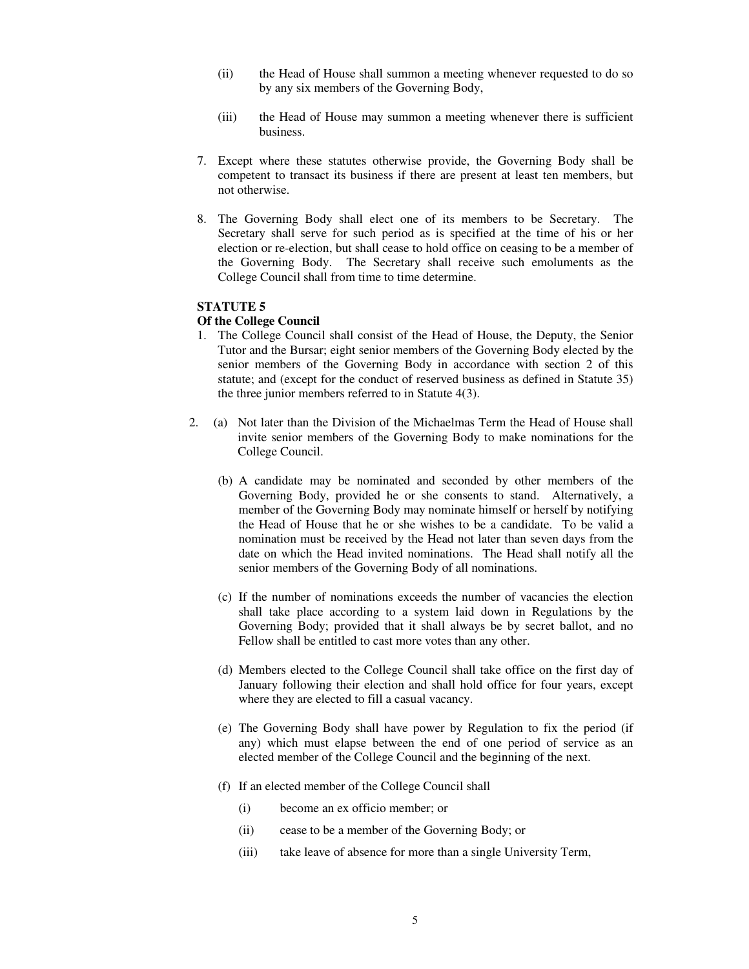- (ii) the Head of House shall summon a meeting whenever requested to do so by any six members of the Governing Body,
- (iii) the Head of House may summon a meeting whenever there is sufficient business.
- 7. Except where these statutes otherwise provide, the Governing Body shall be competent to transact its business if there are present at least ten members, but not otherwise.
- 8. The Governing Body shall elect one of its members to be Secretary. The Secretary shall serve for such period as is specified at the time of his or her election or re-election, but shall cease to hold office on ceasing to be a member of the Governing Body. The Secretary shall receive such emoluments as the College Council shall from time to time determine.

#### **Of the College Council**

- 1. The College Council shall consist of the Head of House, the Deputy, the Senior Tutor and the Bursar; eight senior members of the Governing Body elected by the senior members of the Governing Body in accordance with section 2 of this statute; and (except for the conduct of reserved business as defined in Statute 35) the three junior members referred to in Statute 4(3).
- 2. (a) Not later than the Division of the Michaelmas Term the Head of House shall invite senior members of the Governing Body to make nominations for the College Council.
	- (b) A candidate may be nominated and seconded by other members of the Governing Body, provided he or she consents to stand. Alternatively, a member of the Governing Body may nominate himself or herself by notifying the Head of House that he or she wishes to be a candidate. To be valid a nomination must be received by the Head not later than seven days from the date on which the Head invited nominations. The Head shall notify all the senior members of the Governing Body of all nominations.
	- (c) If the number of nominations exceeds the number of vacancies the election shall take place according to a system laid down in Regulations by the Governing Body; provided that it shall always be by secret ballot, and no Fellow shall be entitled to cast more votes than any other.
	- (d) Members elected to the College Council shall take office on the first day of January following their election and shall hold office for four years, except where they are elected to fill a casual vacancy.
	- (e) The Governing Body shall have power by Regulation to fix the period (if any) which must elapse between the end of one period of service as an elected member of the College Council and the beginning of the next.
	- (f) If an elected member of the College Council shall
		- (i) become an ex officio member; or
		- (ii) cease to be a member of the Governing Body; or
		- (iii) take leave of absence for more than a single University Term,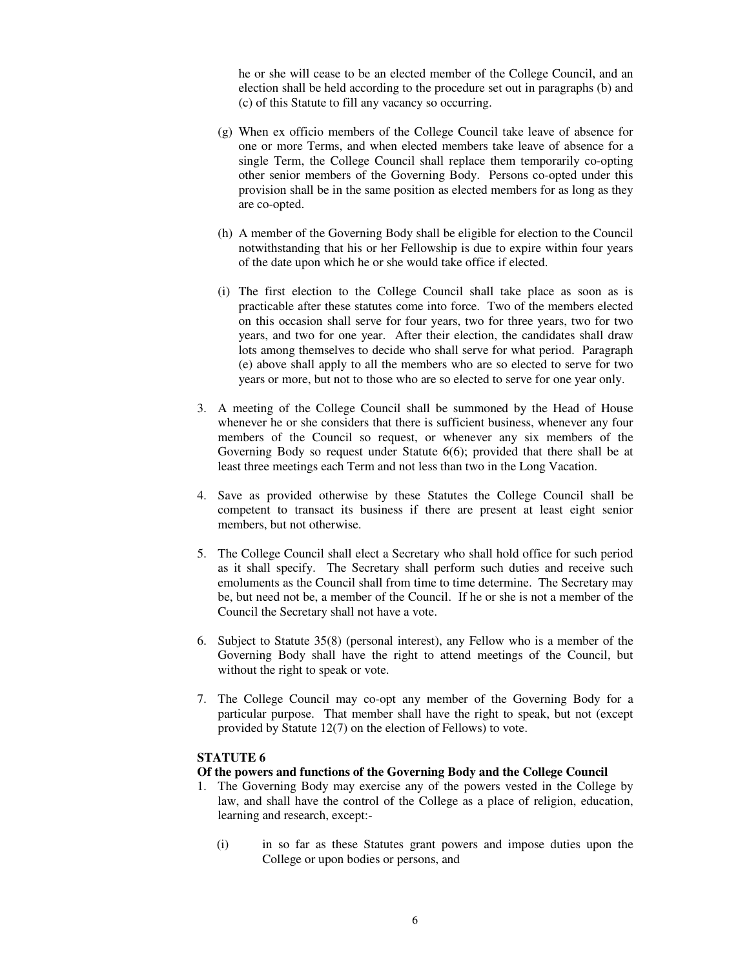he or she will cease to be an elected member of the College Council, and an election shall be held according to the procedure set out in paragraphs (b) and (c) of this Statute to fill any vacancy so occurring.

- (g) When ex officio members of the College Council take leave of absence for one or more Terms, and when elected members take leave of absence for a single Term, the College Council shall replace them temporarily co-opting other senior members of the Governing Body. Persons co-opted under this provision shall be in the same position as elected members for as long as they are co-opted.
- (h) A member of the Governing Body shall be eligible for election to the Council notwithstanding that his or her Fellowship is due to expire within four years of the date upon which he or she would take office if elected.
- (i) The first election to the College Council shall take place as soon as is practicable after these statutes come into force. Two of the members elected on this occasion shall serve for four years, two for three years, two for two years, and two for one year. After their election, the candidates shall draw lots among themselves to decide who shall serve for what period. Paragraph (e) above shall apply to all the members who are so elected to serve for two years or more, but not to those who are so elected to serve for one year only.
- 3. A meeting of the College Council shall be summoned by the Head of House whenever he or she considers that there is sufficient business, whenever any four members of the Council so request, or whenever any six members of the Governing Body so request under Statute 6(6); provided that there shall be at least three meetings each Term and not less than two in the Long Vacation.
- 4. Save as provided otherwise by these Statutes the College Council shall be competent to transact its business if there are present at least eight senior members, but not otherwise.
- 5. The College Council shall elect a Secretary who shall hold office for such period as it shall specify. The Secretary shall perform such duties and receive such emoluments as the Council shall from time to time determine. The Secretary may be, but need not be, a member of the Council. If he or she is not a member of the Council the Secretary shall not have a vote.
- 6. Subject to Statute 35(8) (personal interest), any Fellow who is a member of the Governing Body shall have the right to attend meetings of the Council, but without the right to speak or vote.
- 7. The College Council may co-opt any member of the Governing Body for a particular purpose. That member shall have the right to speak, but not (except provided by Statute 12(7) on the election of Fellows) to vote.

#### **STATUTE 6**

#### **Of the powers and functions of the Governing Body and the College Council**

- 1. The Governing Body may exercise any of the powers vested in the College by law, and shall have the control of the College as a place of religion, education, learning and research, except:-
	- (i) in so far as these Statutes grant powers and impose duties upon the College or upon bodies or persons, and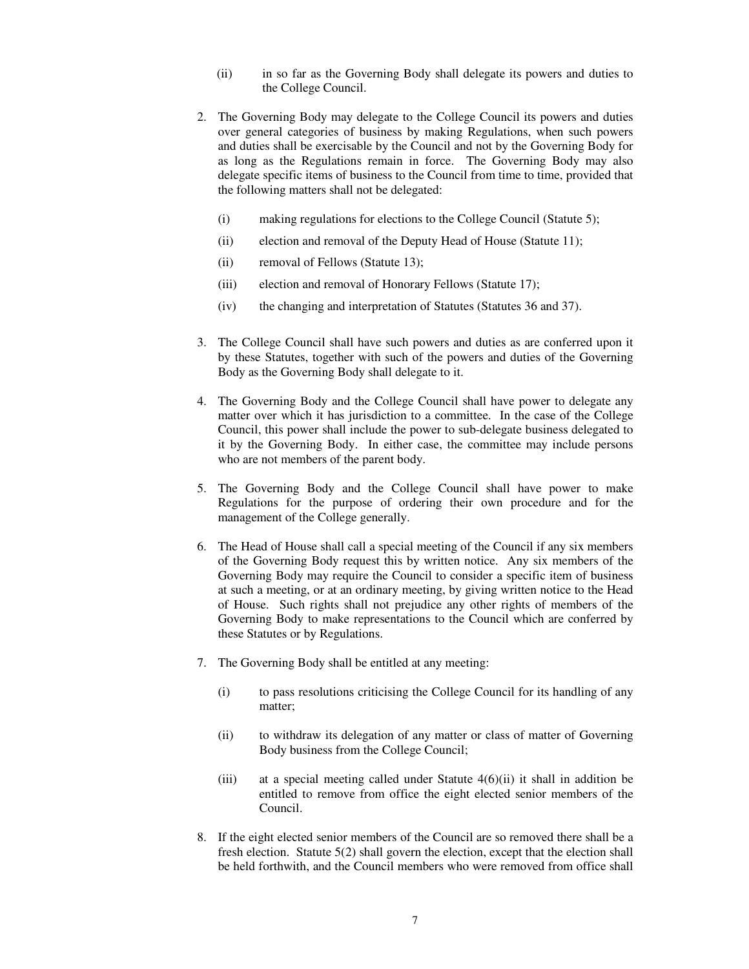- (ii) in so far as the Governing Body shall delegate its powers and duties to the College Council.
- 2. The Governing Body may delegate to the College Council its powers and duties over general categories of business by making Regulations, when such powers and duties shall be exercisable by the Council and not by the Governing Body for as long as the Regulations remain in force. The Governing Body may also delegate specific items of business to the Council from time to time, provided that the following matters shall not be delegated:
	- (i) making regulations for elections to the College Council (Statute 5);
	- (ii) election and removal of the Deputy Head of House (Statute 11);
	- (ii) removal of Fellows (Statute 13);
	- (iii) election and removal of Honorary Fellows (Statute 17);
	- (iv) the changing and interpretation of Statutes (Statutes 36 and 37).
- 3. The College Council shall have such powers and duties as are conferred upon it by these Statutes, together with such of the powers and duties of the Governing Body as the Governing Body shall delegate to it.
- 4. The Governing Body and the College Council shall have power to delegate any matter over which it has jurisdiction to a committee. In the case of the College Council, this power shall include the power to sub-delegate business delegated to it by the Governing Body. In either case, the committee may include persons who are not members of the parent body.
- 5. The Governing Body and the College Council shall have power to make Regulations for the purpose of ordering their own procedure and for the management of the College generally.
- 6. The Head of House shall call a special meeting of the Council if any six members of the Governing Body request this by written notice. Any six members of the Governing Body may require the Council to consider a specific item of business at such a meeting, or at an ordinary meeting, by giving written notice to the Head of House. Such rights shall not prejudice any other rights of members of the Governing Body to make representations to the Council which are conferred by these Statutes or by Regulations.
- 7. The Governing Body shall be entitled at any meeting:
	- (i) to pass resolutions criticising the College Council for its handling of any matter;
	- (ii) to withdraw its delegation of any matter or class of matter of Governing Body business from the College Council;
	- (iii) at a special meeting called under Statute 4(6)(ii) it shall in addition be entitled to remove from office the eight elected senior members of the Council.
- 8. If the eight elected senior members of the Council are so removed there shall be a fresh election. Statute 5(2) shall govern the election, except that the election shall be held forthwith, and the Council members who were removed from office shall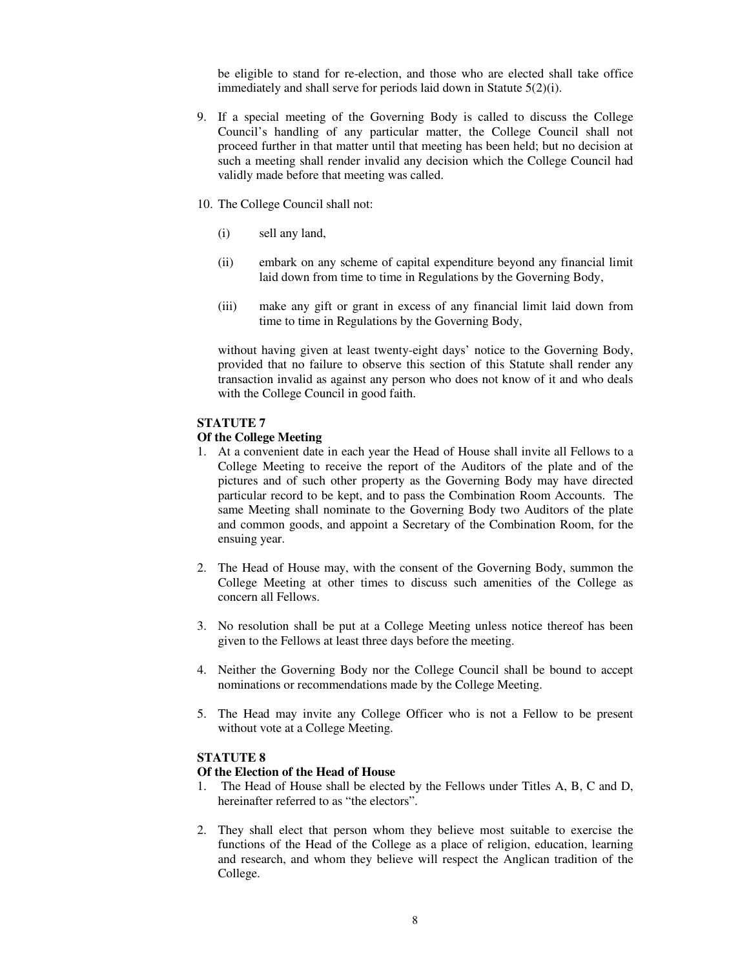be eligible to stand for re-election, and those who are elected shall take office immediately and shall serve for periods laid down in Statute 5(2)(i).

- 9. If a special meeting of the Governing Body is called to discuss the College Council's handling of any particular matter, the College Council shall not proceed further in that matter until that meeting has been held; but no decision at such a meeting shall render invalid any decision which the College Council had validly made before that meeting was called.
- 10. The College Council shall not:
	- (i) sell any land,
	- (ii) embark on any scheme of capital expenditure beyond any financial limit laid down from time to time in Regulations by the Governing Body,
	- (iii) make any gift or grant in excess of any financial limit laid down from time to time in Regulations by the Governing Body,

without having given at least twenty-eight days' notice to the Governing Body, provided that no failure to observe this section of this Statute shall render any transaction invalid as against any person who does not know of it and who deals with the College Council in good faith.

#### **STATUTE 7**

#### **Of the College Meeting**

- 1. At a convenient date in each year the Head of House shall invite all Fellows to a College Meeting to receive the report of the Auditors of the plate and of the pictures and of such other property as the Governing Body may have directed particular record to be kept, and to pass the Combination Room Accounts. The same Meeting shall nominate to the Governing Body two Auditors of the plate and common goods, and appoint a Secretary of the Combination Room, for the ensuing year.
- 2. The Head of House may, with the consent of the Governing Body, summon the College Meeting at other times to discuss such amenities of the College as concern all Fellows.
- 3. No resolution shall be put at a College Meeting unless notice thereof has been given to the Fellows at least three days before the meeting.
- 4. Neither the Governing Body nor the College Council shall be bound to accept nominations or recommendations made by the College Meeting.
- 5. The Head may invite any College Officer who is not a Fellow to be present without vote at a College Meeting.

#### **STATUTE 8**

#### **Of the Election of the Head of House**

- 1. The Head of House shall be elected by the Fellows under Titles A, B, C and D, hereinafter referred to as "the electors".
- 2. They shall elect that person whom they believe most suitable to exercise the functions of the Head of the College as a place of religion, education, learning and research, and whom they believe will respect the Anglican tradition of the College.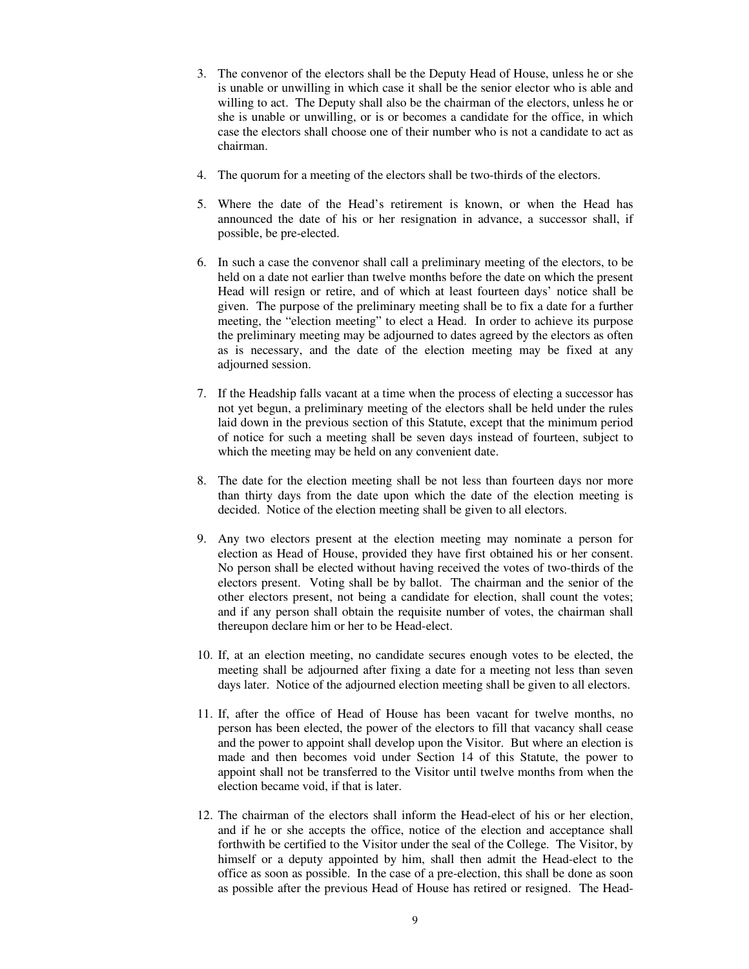- 3. The convenor of the electors shall be the Deputy Head of House, unless he or she is unable or unwilling in which case it shall be the senior elector who is able and willing to act. The Deputy shall also be the chairman of the electors, unless he or she is unable or unwilling, or is or becomes a candidate for the office, in which case the electors shall choose one of their number who is not a candidate to act as chairman.
- 4. The quorum for a meeting of the electors shall be two-thirds of the electors.
- 5. Where the date of the Head's retirement is known, or when the Head has announced the date of his or her resignation in advance, a successor shall, if possible, be pre-elected.
- 6. In such a case the convenor shall call a preliminary meeting of the electors, to be held on a date not earlier than twelve months before the date on which the present Head will resign or retire, and of which at least fourteen days' notice shall be given. The purpose of the preliminary meeting shall be to fix a date for a further meeting, the "election meeting" to elect a Head. In order to achieve its purpose the preliminary meeting may be adjourned to dates agreed by the electors as often as is necessary, and the date of the election meeting may be fixed at any adjourned session.
- 7. If the Headship falls vacant at a time when the process of electing a successor has not yet begun, a preliminary meeting of the electors shall be held under the rules laid down in the previous section of this Statute, except that the minimum period of notice for such a meeting shall be seven days instead of fourteen, subject to which the meeting may be held on any convenient date.
- 8. The date for the election meeting shall be not less than fourteen days nor more than thirty days from the date upon which the date of the election meeting is decided. Notice of the election meeting shall be given to all electors.
- 9. Any two electors present at the election meeting may nominate a person for election as Head of House, provided they have first obtained his or her consent. No person shall be elected without having received the votes of two-thirds of the electors present. Voting shall be by ballot. The chairman and the senior of the other electors present, not being a candidate for election, shall count the votes; and if any person shall obtain the requisite number of votes, the chairman shall thereupon declare him or her to be Head-elect.
- 10. If, at an election meeting, no candidate secures enough votes to be elected, the meeting shall be adjourned after fixing a date for a meeting not less than seven days later. Notice of the adjourned election meeting shall be given to all electors.
- 11. If, after the office of Head of House has been vacant for twelve months, no person has been elected, the power of the electors to fill that vacancy shall cease and the power to appoint shall develop upon the Visitor. But where an election is made and then becomes void under Section 14 of this Statute, the power to appoint shall not be transferred to the Visitor until twelve months from when the election became void, if that is later.
- 12. The chairman of the electors shall inform the Head-elect of his or her election, and if he or she accepts the office, notice of the election and acceptance shall forthwith be certified to the Visitor under the seal of the College. The Visitor, by himself or a deputy appointed by him, shall then admit the Head-elect to the office as soon as possible. In the case of a pre-election, this shall be done as soon as possible after the previous Head of House has retired or resigned. The Head-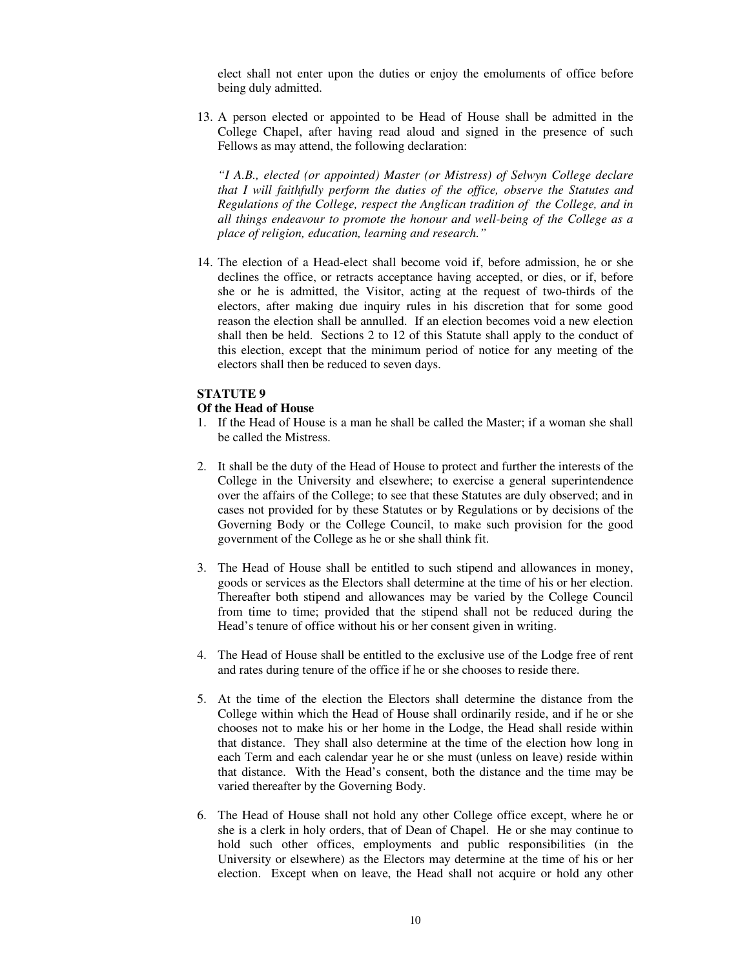elect shall not enter upon the duties or enjoy the emoluments of office before being duly admitted.

13. A person elected or appointed to be Head of House shall be admitted in the College Chapel, after having read aloud and signed in the presence of such Fellows as may attend, the following declaration:

*"I A.B., elected (or appointed) Master (or Mistress) of Selwyn College declare that I will faithfully perform the duties of the office, observe the Statutes and Regulations of the College, respect the Anglican tradition of the College, and in all things endeavour to promote the honour and well-being of the College as a place of religion, education, learning and research."* 

14. The election of a Head-elect shall become void if, before admission, he or she declines the office, or retracts acceptance having accepted, or dies, or if, before she or he is admitted, the Visitor, acting at the request of two-thirds of the electors, after making due inquiry rules in his discretion that for some good reason the election shall be annulled. If an election becomes void a new election shall then be held. Sections 2 to 12 of this Statute shall apply to the conduct of this election, except that the minimum period of notice for any meeting of the electors shall then be reduced to seven days.

#### **STATUTE 9**

#### **Of the Head of House**

- 1. If the Head of House is a man he shall be called the Master; if a woman she shall be called the Mistress.
- 2. It shall be the duty of the Head of House to protect and further the interests of the College in the University and elsewhere; to exercise a general superintendence over the affairs of the College; to see that these Statutes are duly observed; and in cases not provided for by these Statutes or by Regulations or by decisions of the Governing Body or the College Council, to make such provision for the good government of the College as he or she shall think fit.
- 3. The Head of House shall be entitled to such stipend and allowances in money, goods or services as the Electors shall determine at the time of his or her election. Thereafter both stipend and allowances may be varied by the College Council from time to time; provided that the stipend shall not be reduced during the Head's tenure of office without his or her consent given in writing.
- 4. The Head of House shall be entitled to the exclusive use of the Lodge free of rent and rates during tenure of the office if he or she chooses to reside there.
- 5. At the time of the election the Electors shall determine the distance from the College within which the Head of House shall ordinarily reside, and if he or she chooses not to make his or her home in the Lodge, the Head shall reside within that distance. They shall also determine at the time of the election how long in each Term and each calendar year he or she must (unless on leave) reside within that distance. With the Head's consent, both the distance and the time may be varied thereafter by the Governing Body.
- 6. The Head of House shall not hold any other College office except, where he or she is a clerk in holy orders, that of Dean of Chapel. He or she may continue to hold such other offices, employments and public responsibilities (in the University or elsewhere) as the Electors may determine at the time of his or her election. Except when on leave, the Head shall not acquire or hold any other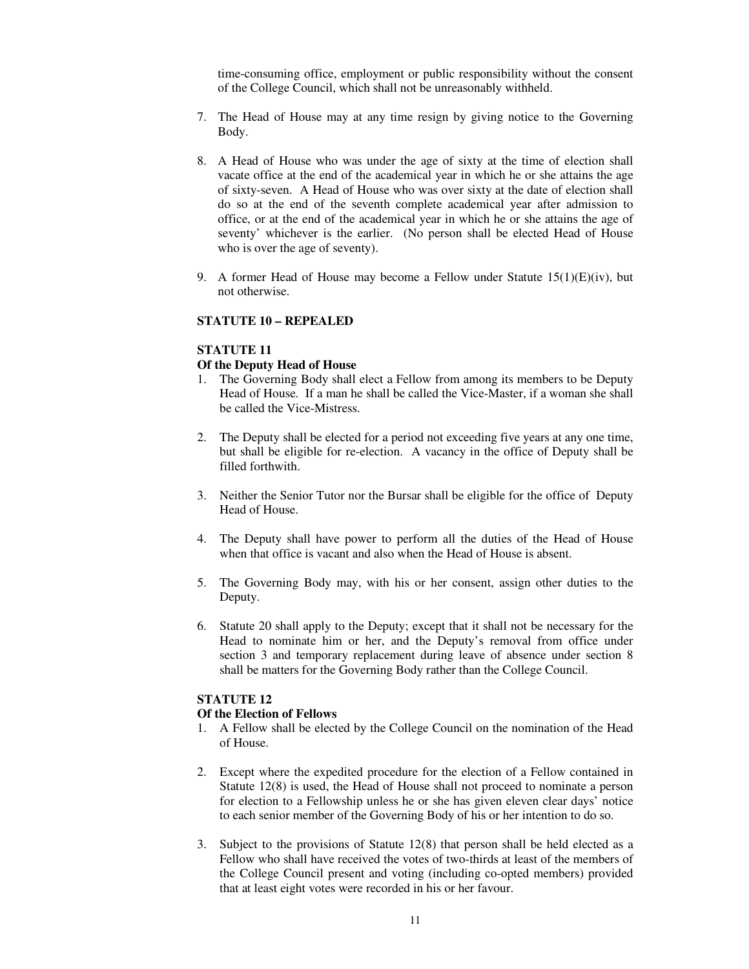time-consuming office, employment or public responsibility without the consent of the College Council, which shall not be unreasonably withheld.

- 7. The Head of House may at any time resign by giving notice to the Governing Body.
- 8. A Head of House who was under the age of sixty at the time of election shall vacate office at the end of the academical year in which he or she attains the age of sixty-seven. A Head of House who was over sixty at the date of election shall do so at the end of the seventh complete academical year after admission to office, or at the end of the academical year in which he or she attains the age of seventy' whichever is the earlier. (No person shall be elected Head of House who is over the age of seventy).
- 9. A former Head of House may become a Fellow under Statute  $15(1)(E)(iv)$ , but not otherwise.

#### **STATUTE 10 – REPEALED**

## **STATUTE 11**

#### **Of the Deputy Head of House**

- 1. The Governing Body shall elect a Fellow from among its members to be Deputy Head of House. If a man he shall be called the Vice-Master, if a woman she shall be called the Vice-Mistress.
- 2. The Deputy shall be elected for a period not exceeding five years at any one time, but shall be eligible for re-election. A vacancy in the office of Deputy shall be filled forthwith.
- 3. Neither the Senior Tutor nor the Bursar shall be eligible for the office of Deputy Head of House.
- 4. The Deputy shall have power to perform all the duties of the Head of House when that office is vacant and also when the Head of House is absent.
- 5. The Governing Body may, with his or her consent, assign other duties to the Deputy.
- 6. Statute 20 shall apply to the Deputy; except that it shall not be necessary for the Head to nominate him or her, and the Deputy's removal from office under section 3 and temporary replacement during leave of absence under section 8 shall be matters for the Governing Body rather than the College Council.

## **STATUTE 12**

#### **Of the Election of Fellows**

- 1. A Fellow shall be elected by the College Council on the nomination of the Head of House.
- 2. Except where the expedited procedure for the election of a Fellow contained in Statute 12(8) is used, the Head of House shall not proceed to nominate a person for election to a Fellowship unless he or she has given eleven clear days' notice to each senior member of the Governing Body of his or her intention to do so.
- 3. Subject to the provisions of Statute 12(8) that person shall be held elected as a Fellow who shall have received the votes of two-thirds at least of the members of the College Council present and voting (including co-opted members) provided that at least eight votes were recorded in his or her favour.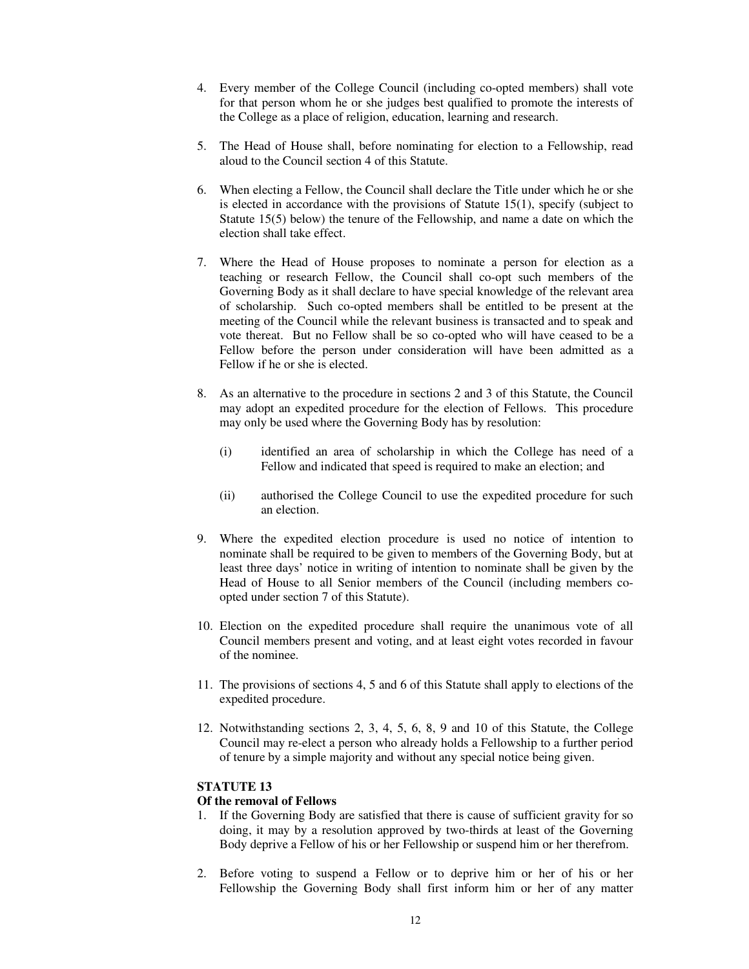- 4. Every member of the College Council (including co-opted members) shall vote for that person whom he or she judges best qualified to promote the interests of the College as a place of religion, education, learning and research.
- 5. The Head of House shall, before nominating for election to a Fellowship, read aloud to the Council section 4 of this Statute.
- 6. When electing a Fellow, the Council shall declare the Title under which he or she is elected in accordance with the provisions of Statute 15(1), specify (subject to Statute 15(5) below) the tenure of the Fellowship, and name a date on which the election shall take effect.
- 7. Where the Head of House proposes to nominate a person for election as a teaching or research Fellow, the Council shall co-opt such members of the Governing Body as it shall declare to have special knowledge of the relevant area of scholarship. Such co-opted members shall be entitled to be present at the meeting of the Council while the relevant business is transacted and to speak and vote thereat. But no Fellow shall be so co-opted who will have ceased to be a Fellow before the person under consideration will have been admitted as a Fellow if he or she is elected.
- 8. As an alternative to the procedure in sections 2 and 3 of this Statute, the Council may adopt an expedited procedure for the election of Fellows. This procedure may only be used where the Governing Body has by resolution:
	- (i) identified an area of scholarship in which the College has need of a Fellow and indicated that speed is required to make an election; and
	- (ii) authorised the College Council to use the expedited procedure for such an election.
- 9. Where the expedited election procedure is used no notice of intention to nominate shall be required to be given to members of the Governing Body, but at least three days' notice in writing of intention to nominate shall be given by the Head of House to all Senior members of the Council (including members coopted under section 7 of this Statute).
- 10. Election on the expedited procedure shall require the unanimous vote of all Council members present and voting, and at least eight votes recorded in favour of the nominee.
- 11. The provisions of sections 4, 5 and 6 of this Statute shall apply to elections of the expedited procedure.
- 12. Notwithstanding sections 2, 3, 4, 5, 6, 8, 9 and 10 of this Statute, the College Council may re-elect a person who already holds a Fellowship to a further period of tenure by a simple majority and without any special notice being given.

## **Of the removal of Fellows**

- 1. If the Governing Body are satisfied that there is cause of sufficient gravity for so doing, it may by a resolution approved by two-thirds at least of the Governing Body deprive a Fellow of his or her Fellowship or suspend him or her therefrom.
- 2. Before voting to suspend a Fellow or to deprive him or her of his or her Fellowship the Governing Body shall first inform him or her of any matter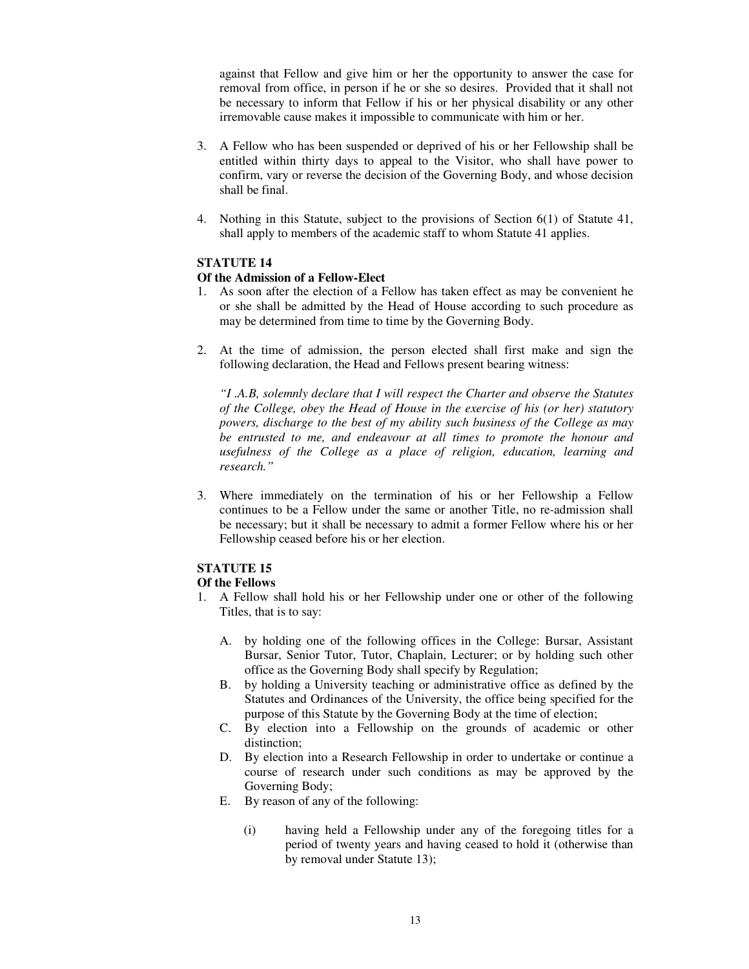against that Fellow and give him or her the opportunity to answer the case for removal from office, in person if he or she so desires. Provided that it shall not be necessary to inform that Fellow if his or her physical disability or any other irremovable cause makes it impossible to communicate with him or her.

- 3. A Fellow who has been suspended or deprived of his or her Fellowship shall be entitled within thirty days to appeal to the Visitor, who shall have power to confirm, vary or reverse the decision of the Governing Body, and whose decision shall be final.
- 4. Nothing in this Statute, subject to the provisions of Section 6(1) of Statute 41, shall apply to members of the academic staff to whom Statute 41 applies.

# **STATUTE 14**

#### **Of the Admission of a Fellow-Elect**

- 1. As soon after the election of a Fellow has taken effect as may be convenient he or she shall be admitted by the Head of House according to such procedure as may be determined from time to time by the Governing Body.
- 2. At the time of admission, the person elected shall first make and sign the following declaration, the Head and Fellows present bearing witness:

*"I .A.B, solemnly declare that I will respect the Charter and observe the Statutes of the College, obey the Head of House in the exercise of his (or her) statutory powers, discharge to the best of my ability such business of the College as may be entrusted to me, and endeavour at all times to promote the honour and usefulness of the College as a place of religion, education, learning and research."* 

3. Where immediately on the termination of his or her Fellowship a Fellow continues to be a Fellow under the same or another Title, no re-admission shall be necessary; but it shall be necessary to admit a former Fellow where his or her Fellowship ceased before his or her election.

# **STATUTE 15**

#### **Of the Fellows**

- 1. A Fellow shall hold his or her Fellowship under one or other of the following Titles, that is to say:
	- A. by holding one of the following offices in the College: Bursar, Assistant Bursar, Senior Tutor, Tutor, Chaplain, Lecturer; or by holding such other office as the Governing Body shall specify by Regulation;
	- B. by holding a University teaching or administrative office as defined by the Statutes and Ordinances of the University, the office being specified for the purpose of this Statute by the Governing Body at the time of election;
	- C. By election into a Fellowship on the grounds of academic or other distinction;
	- D. By election into a Research Fellowship in order to undertake or continue a course of research under such conditions as may be approved by the Governing Body;
	- E. By reason of any of the following:
		- (i) having held a Fellowship under any of the foregoing titles for a period of twenty years and having ceased to hold it (otherwise than by removal under Statute 13);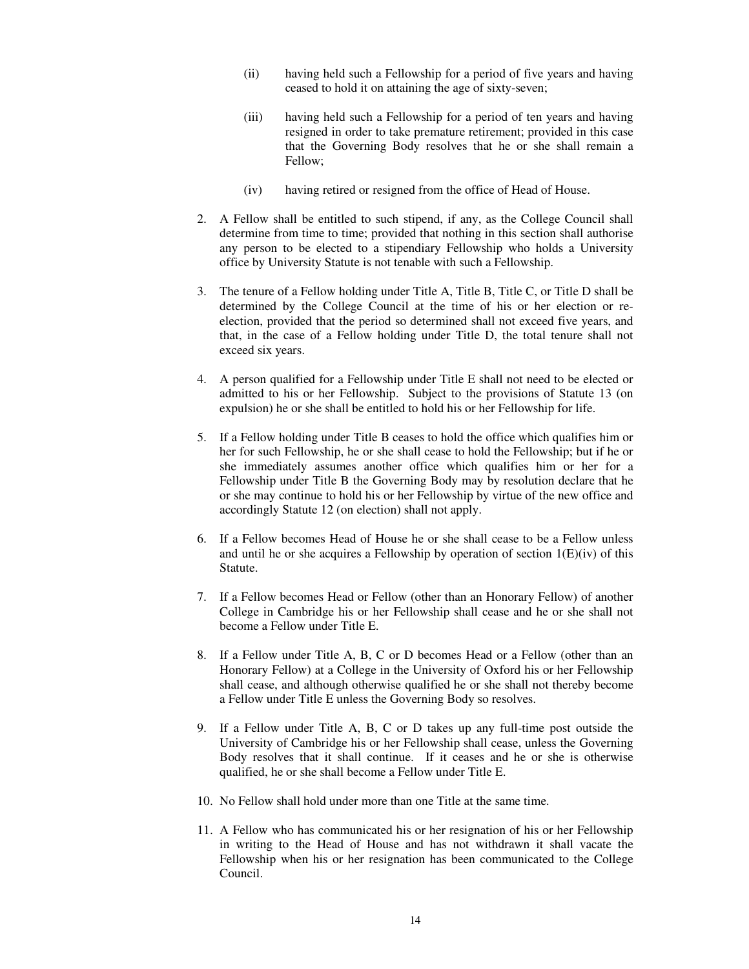- (ii) having held such a Fellowship for a period of five years and having ceased to hold it on attaining the age of sixty-seven;
- (iii) having held such a Fellowship for a period of ten years and having resigned in order to take premature retirement; provided in this case that the Governing Body resolves that he or she shall remain a Fellow;
- (iv) having retired or resigned from the office of Head of House.
- 2. A Fellow shall be entitled to such stipend, if any, as the College Council shall determine from time to time; provided that nothing in this section shall authorise any person to be elected to a stipendiary Fellowship who holds a University office by University Statute is not tenable with such a Fellowship.
- 3. The tenure of a Fellow holding under Title A, Title B, Title C, or Title D shall be determined by the College Council at the time of his or her election or reelection, provided that the period so determined shall not exceed five years, and that, in the case of a Fellow holding under Title D, the total tenure shall not exceed six years.
- 4. A person qualified for a Fellowship under Title E shall not need to be elected or admitted to his or her Fellowship. Subject to the provisions of Statute 13 (on expulsion) he or she shall be entitled to hold his or her Fellowship for life.
- 5. If a Fellow holding under Title B ceases to hold the office which qualifies him or her for such Fellowship, he or she shall cease to hold the Fellowship; but if he or she immediately assumes another office which qualifies him or her for a Fellowship under Title B the Governing Body may by resolution declare that he or she may continue to hold his or her Fellowship by virtue of the new office and accordingly Statute 12 (on election) shall not apply.
- 6. If a Fellow becomes Head of House he or she shall cease to be a Fellow unless and until he or she acquires a Fellowship by operation of section  $1(E)(iv)$  of this Statute.
- 7. If a Fellow becomes Head or Fellow (other than an Honorary Fellow) of another College in Cambridge his or her Fellowship shall cease and he or she shall not become a Fellow under Title E.
- 8. If a Fellow under Title A, B, C or D becomes Head or a Fellow (other than an Honorary Fellow) at a College in the University of Oxford his or her Fellowship shall cease, and although otherwise qualified he or she shall not thereby become a Fellow under Title E unless the Governing Body so resolves.
- 9. If a Fellow under Title A, B, C or D takes up any full-time post outside the University of Cambridge his or her Fellowship shall cease, unless the Governing Body resolves that it shall continue. If it ceases and he or she is otherwise qualified, he or she shall become a Fellow under Title E.
- 10. No Fellow shall hold under more than one Title at the same time.
- 11. A Fellow who has communicated his or her resignation of his or her Fellowship in writing to the Head of House and has not withdrawn it shall vacate the Fellowship when his or her resignation has been communicated to the College Council.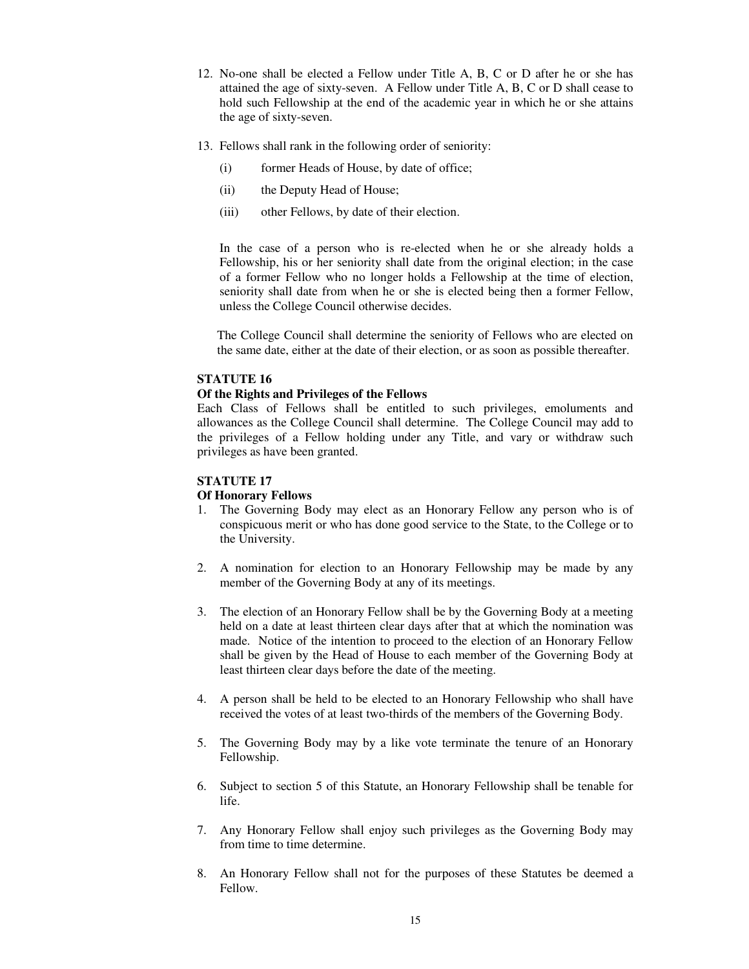- 12. No-one shall be elected a Fellow under Title A, B, C or D after he or she has attained the age of sixty-seven. A Fellow under Title A, B, C or D shall cease to hold such Fellowship at the end of the academic year in which he or she attains the age of sixty-seven.
- 13. Fellows shall rank in the following order of seniority:
	- (i) former Heads of House, by date of office;
	- (ii) the Deputy Head of House;
	- (iii) other Fellows, by date of their election.

In the case of a person who is re-elected when he or she already holds a Fellowship, his or her seniority shall date from the original election; in the case of a former Fellow who no longer holds a Fellowship at the time of election, seniority shall date from when he or she is elected being then a former Fellow, unless the College Council otherwise decides.

The College Council shall determine the seniority of Fellows who are elected on the same date, either at the date of their election, or as soon as possible thereafter.

#### **STATUTE 16**

#### **Of the Rights and Privileges of the Fellows**

Each Class of Fellows shall be entitled to such privileges, emoluments and allowances as the College Council shall determine. The College Council may add to the privileges of a Fellow holding under any Title, and vary or withdraw such privileges as have been granted.

#### **STATUTE 17**

#### **Of Honorary Fellows**

- 1. The Governing Body may elect as an Honorary Fellow any person who is of conspicuous merit or who has done good service to the State, to the College or to the University.
- 2. A nomination for election to an Honorary Fellowship may be made by any member of the Governing Body at any of its meetings.
- 3. The election of an Honorary Fellow shall be by the Governing Body at a meeting held on a date at least thirteen clear days after that at which the nomination was made. Notice of the intention to proceed to the election of an Honorary Fellow shall be given by the Head of House to each member of the Governing Body at least thirteen clear days before the date of the meeting.
- 4. A person shall be held to be elected to an Honorary Fellowship who shall have received the votes of at least two-thirds of the members of the Governing Body.
- 5. The Governing Body may by a like vote terminate the tenure of an Honorary Fellowship.
- 6. Subject to section 5 of this Statute, an Honorary Fellowship shall be tenable for life.
- 7. Any Honorary Fellow shall enjoy such privileges as the Governing Body may from time to time determine.
- 8. An Honorary Fellow shall not for the purposes of these Statutes be deemed a Fellow.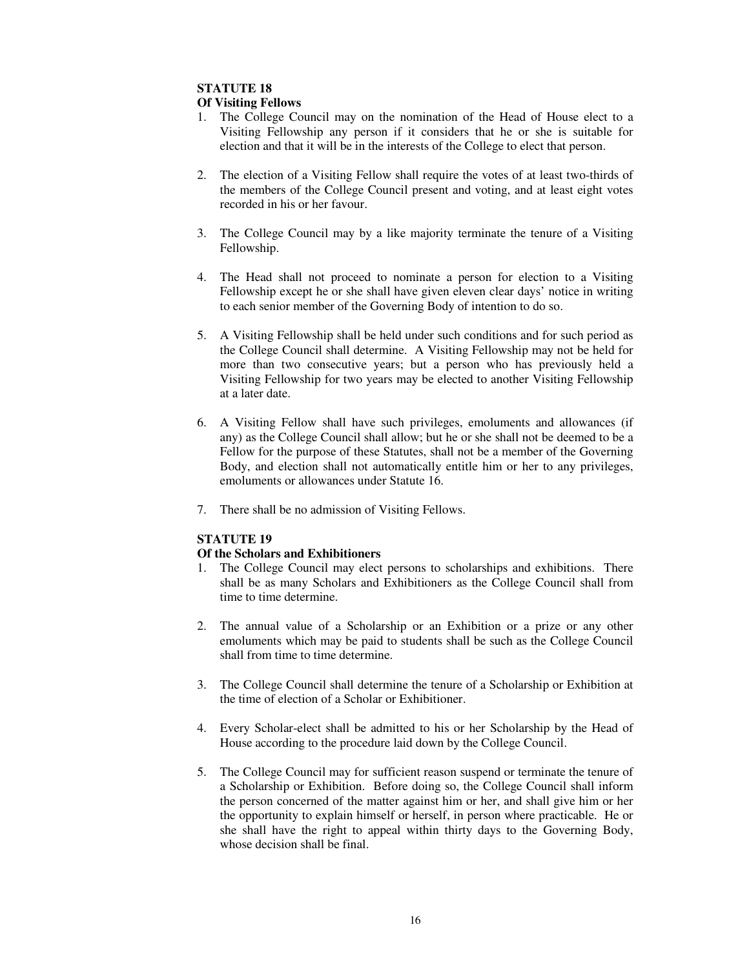#### **Of Visiting Fellows**

- 1. The College Council may on the nomination of the Head of House elect to a Visiting Fellowship any person if it considers that he or she is suitable for election and that it will be in the interests of the College to elect that person.
- 2. The election of a Visiting Fellow shall require the votes of at least two-thirds of the members of the College Council present and voting, and at least eight votes recorded in his or her favour.
- 3. The College Council may by a like majority terminate the tenure of a Visiting Fellowship.
- 4. The Head shall not proceed to nominate a person for election to a Visiting Fellowship except he or she shall have given eleven clear days' notice in writing to each senior member of the Governing Body of intention to do so.
- 5. A Visiting Fellowship shall be held under such conditions and for such period as the College Council shall determine. A Visiting Fellowship may not be held for more than two consecutive years; but a person who has previously held a Visiting Fellowship for two years may be elected to another Visiting Fellowship at a later date.
- 6. A Visiting Fellow shall have such privileges, emoluments and allowances (if any) as the College Council shall allow; but he or she shall not be deemed to be a Fellow for the purpose of these Statutes, shall not be a member of the Governing Body, and election shall not automatically entitle him or her to any privileges, emoluments or allowances under Statute 16.
- 7. There shall be no admission of Visiting Fellows.

## **STATUTE 19**

## **Of the Scholars and Exhibitioners**

- 1. The College Council may elect persons to scholarships and exhibitions. There shall be as many Scholars and Exhibitioners as the College Council shall from time to time determine.
- 2. The annual value of a Scholarship or an Exhibition or a prize or any other emoluments which may be paid to students shall be such as the College Council shall from time to time determine.
- 3. The College Council shall determine the tenure of a Scholarship or Exhibition at the time of election of a Scholar or Exhibitioner.
- 4. Every Scholar-elect shall be admitted to his or her Scholarship by the Head of House according to the procedure laid down by the College Council.
- 5. The College Council may for sufficient reason suspend or terminate the tenure of a Scholarship or Exhibition. Before doing so, the College Council shall inform the person concerned of the matter against him or her, and shall give him or her the opportunity to explain himself or herself, in person where practicable. He or she shall have the right to appeal within thirty days to the Governing Body, whose decision shall be final.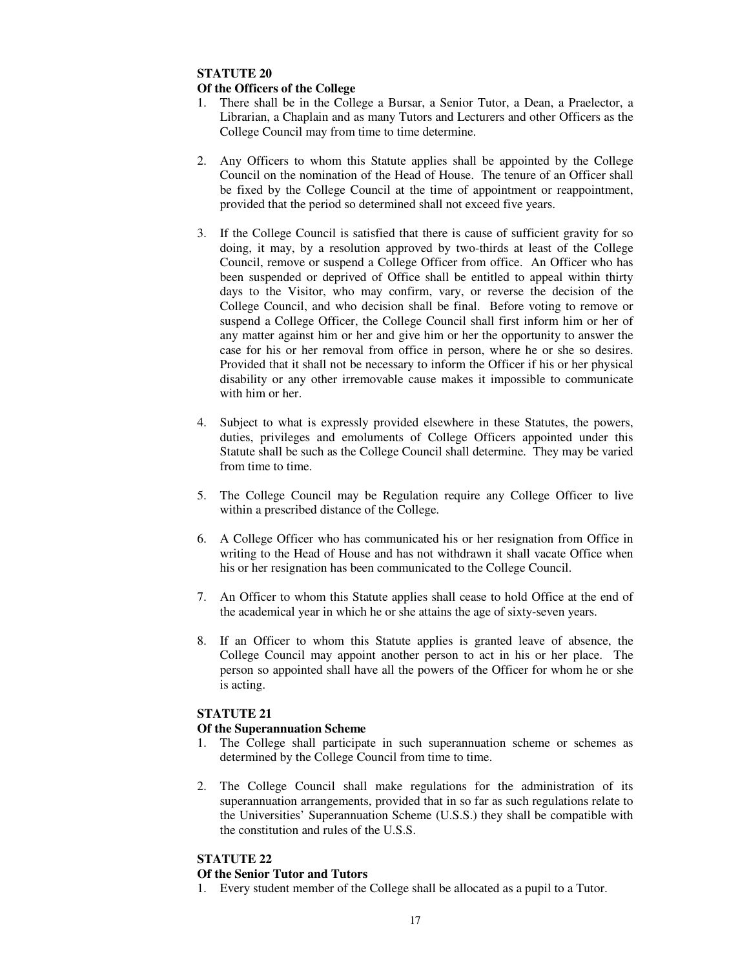# **Of the Officers of the College**

- 1. There shall be in the College a Bursar, a Senior Tutor, a Dean, a Praelector, a Librarian, a Chaplain and as many Tutors and Lecturers and other Officers as the College Council may from time to time determine.
- 2. Any Officers to whom this Statute applies shall be appointed by the College Council on the nomination of the Head of House. The tenure of an Officer shall be fixed by the College Council at the time of appointment or reappointment, provided that the period so determined shall not exceed five years.
- 3. If the College Council is satisfied that there is cause of sufficient gravity for so doing, it may, by a resolution approved by two-thirds at least of the College Council, remove or suspend a College Officer from office. An Officer who has been suspended or deprived of Office shall be entitled to appeal within thirty days to the Visitor, who may confirm, vary, or reverse the decision of the College Council, and who decision shall be final. Before voting to remove or suspend a College Officer, the College Council shall first inform him or her of any matter against him or her and give him or her the opportunity to answer the case for his or her removal from office in person, where he or she so desires. Provided that it shall not be necessary to inform the Officer if his or her physical disability or any other irremovable cause makes it impossible to communicate with him or her.
- 4. Subject to what is expressly provided elsewhere in these Statutes, the powers, duties, privileges and emoluments of College Officers appointed under this Statute shall be such as the College Council shall determine. They may be varied from time to time.
- 5. The College Council may be Regulation require any College Officer to live within a prescribed distance of the College.
- 6. A College Officer who has communicated his or her resignation from Office in writing to the Head of House and has not withdrawn it shall vacate Office when his or her resignation has been communicated to the College Council.
- 7. An Officer to whom this Statute applies shall cease to hold Office at the end of the academical year in which he or she attains the age of sixty-seven years.
- 8. If an Officer to whom this Statute applies is granted leave of absence, the College Council may appoint another person to act in his or her place. The person so appointed shall have all the powers of the Officer for whom he or she is acting.

## **STATUTE 21**

## **Of the Superannuation Scheme**

- 1. The College shall participate in such superannuation scheme or schemes as determined by the College Council from time to time.
- 2. The College Council shall make regulations for the administration of its superannuation arrangements, provided that in so far as such regulations relate to the Universities' Superannuation Scheme (U.S.S.) they shall be compatible with the constitution and rules of the U.S.S.

# **STATUTE 22**

## **Of the Senior Tutor and Tutors**

1. Every student member of the College shall be allocated as a pupil to a Tutor.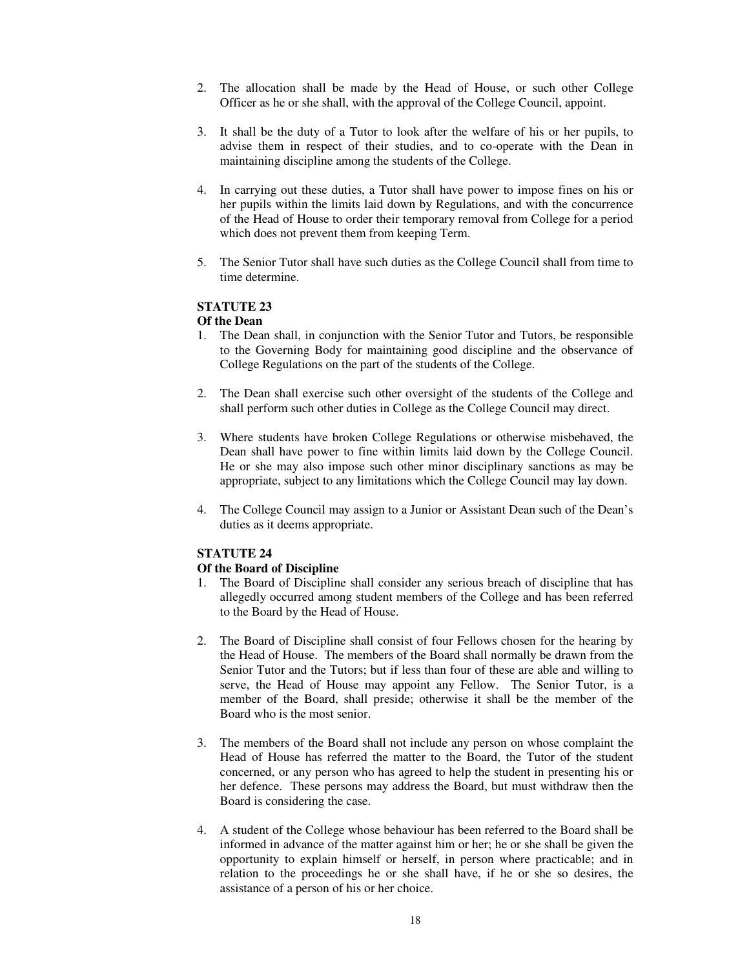- 2. The allocation shall be made by the Head of House, or such other College Officer as he or she shall, with the approval of the College Council, appoint.
- 3. It shall be the duty of a Tutor to look after the welfare of his or her pupils, to advise them in respect of their studies, and to co-operate with the Dean in maintaining discipline among the students of the College.
- 4. In carrying out these duties, a Tutor shall have power to impose fines on his or her pupils within the limits laid down by Regulations, and with the concurrence of the Head of House to order their temporary removal from College for a period which does not prevent them from keeping Term.
- 5. The Senior Tutor shall have such duties as the College Council shall from time to time determine.

#### **Of the Dean**

- 1. The Dean shall, in conjunction with the Senior Tutor and Tutors, be responsible to the Governing Body for maintaining good discipline and the observance of College Regulations on the part of the students of the College.
- 2. The Dean shall exercise such other oversight of the students of the College and shall perform such other duties in College as the College Council may direct.
- 3. Where students have broken College Regulations or otherwise misbehaved, the Dean shall have power to fine within limits laid down by the College Council. He or she may also impose such other minor disciplinary sanctions as may be appropriate, subject to any limitations which the College Council may lay down.
- 4. The College Council may assign to a Junior or Assistant Dean such of the Dean's duties as it deems appropriate.

#### **STATUTE 24**

#### **Of the Board of Discipline**

- 1. The Board of Discipline shall consider any serious breach of discipline that has allegedly occurred among student members of the College and has been referred to the Board by the Head of House.
- 2. The Board of Discipline shall consist of four Fellows chosen for the hearing by the Head of House. The members of the Board shall normally be drawn from the Senior Tutor and the Tutors; but if less than four of these are able and willing to serve, the Head of House may appoint any Fellow. The Senior Tutor, is a member of the Board, shall preside; otherwise it shall be the member of the Board who is the most senior.
- 3. The members of the Board shall not include any person on whose complaint the Head of House has referred the matter to the Board, the Tutor of the student concerned, or any person who has agreed to help the student in presenting his or her defence. These persons may address the Board, but must withdraw then the Board is considering the case.
- 4. A student of the College whose behaviour has been referred to the Board shall be informed in advance of the matter against him or her; he or she shall be given the opportunity to explain himself or herself, in person where practicable; and in relation to the proceedings he or she shall have, if he or she so desires, the assistance of a person of his or her choice.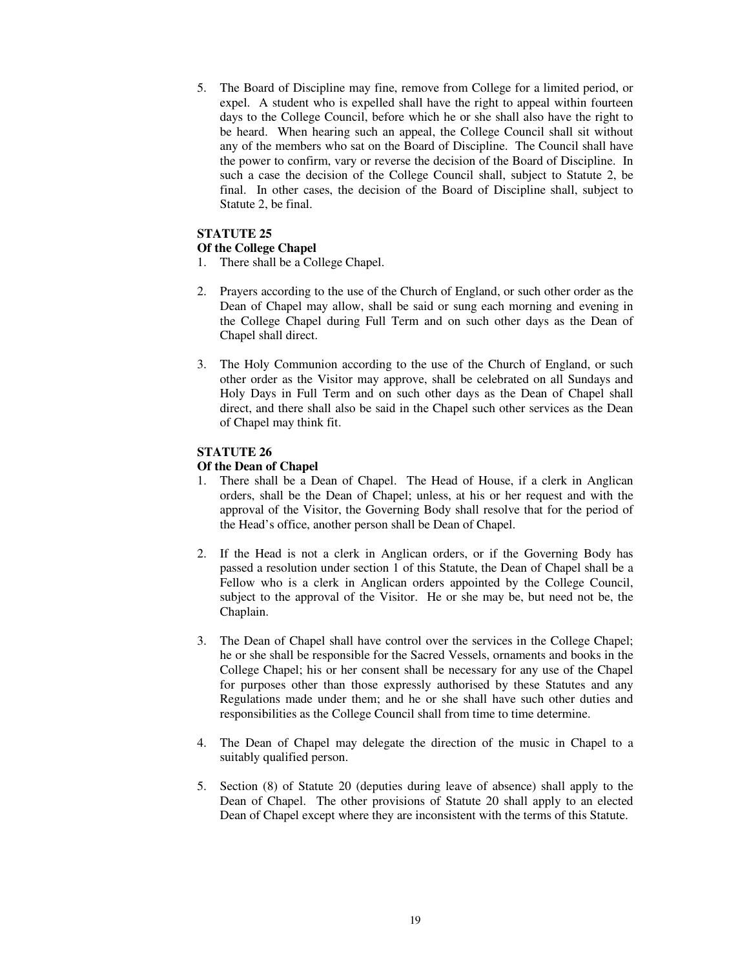5. The Board of Discipline may fine, remove from College for a limited period, or expel. A student who is expelled shall have the right to appeal within fourteen days to the College Council, before which he or she shall also have the right to be heard. When hearing such an appeal, the College Council shall sit without any of the members who sat on the Board of Discipline. The Council shall have the power to confirm, vary or reverse the decision of the Board of Discipline. In such a case the decision of the College Council shall, subject to Statute 2, be final. In other cases, the decision of the Board of Discipline shall, subject to Statute 2, be final.

## **STATUTE 25**

#### **Of the College Chapel**

- 1. There shall be a College Chapel.
- 2. Prayers according to the use of the Church of England, or such other order as the Dean of Chapel may allow, shall be said or sung each morning and evening in the College Chapel during Full Term and on such other days as the Dean of Chapel shall direct.
- 3. The Holy Communion according to the use of the Church of England, or such other order as the Visitor may approve, shall be celebrated on all Sundays and Holy Days in Full Term and on such other days as the Dean of Chapel shall direct, and there shall also be said in the Chapel such other services as the Dean of Chapel may think fit.

## **STATUTE 26**

#### **Of the Dean of Chapel**

- 1. There shall be a Dean of Chapel. The Head of House, if a clerk in Anglican orders, shall be the Dean of Chapel; unless, at his or her request and with the approval of the Visitor, the Governing Body shall resolve that for the period of the Head's office, another person shall be Dean of Chapel.
- 2. If the Head is not a clerk in Anglican orders, or if the Governing Body has passed a resolution under section 1 of this Statute, the Dean of Chapel shall be a Fellow who is a clerk in Anglican orders appointed by the College Council, subject to the approval of the Visitor. He or she may be, but need not be, the Chaplain.
- 3. The Dean of Chapel shall have control over the services in the College Chapel; he or she shall be responsible for the Sacred Vessels, ornaments and books in the College Chapel; his or her consent shall be necessary for any use of the Chapel for purposes other than those expressly authorised by these Statutes and any Regulations made under them; and he or she shall have such other duties and responsibilities as the College Council shall from time to time determine.
- 4. The Dean of Chapel may delegate the direction of the music in Chapel to a suitably qualified person.
- 5. Section (8) of Statute 20 (deputies during leave of absence) shall apply to the Dean of Chapel. The other provisions of Statute 20 shall apply to an elected Dean of Chapel except where they are inconsistent with the terms of this Statute.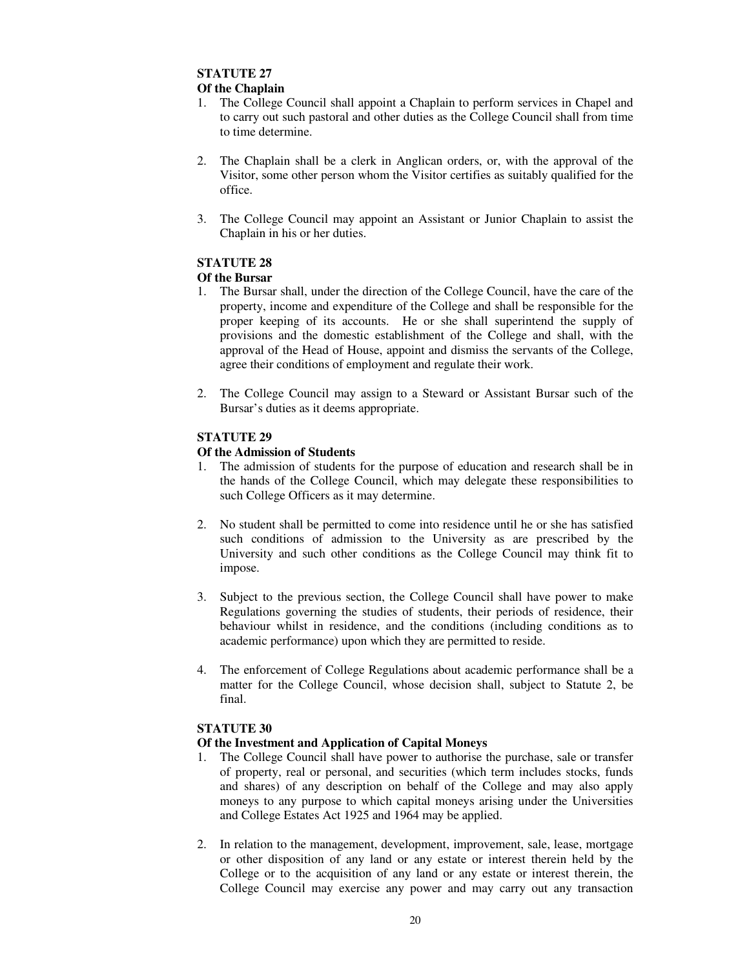#### **Of the Chaplain**

- 1. The College Council shall appoint a Chaplain to perform services in Chapel and to carry out such pastoral and other duties as the College Council shall from time to time determine.
- 2. The Chaplain shall be a clerk in Anglican orders, or, with the approval of the Visitor, some other person whom the Visitor certifies as suitably qualified for the office.
- 3. The College Council may appoint an Assistant or Junior Chaplain to assist the Chaplain in his or her duties.

# **STATUTE 28**

#### **Of the Bursar**

- 1. The Bursar shall, under the direction of the College Council, have the care of the property, income and expenditure of the College and shall be responsible for the proper keeping of its accounts. He or she shall superintend the supply of provisions and the domestic establishment of the College and shall, with the approval of the Head of House, appoint and dismiss the servants of the College, agree their conditions of employment and regulate their work.
- 2. The College Council may assign to a Steward or Assistant Bursar such of the Bursar's duties as it deems appropriate.

## **STATUTE 29**

#### **Of the Admission of Students**

- 1. The admission of students for the purpose of education and research shall be in the hands of the College Council, which may delegate these responsibilities to such College Officers as it may determine.
- 2. No student shall be permitted to come into residence until he or she has satisfied such conditions of admission to the University as are prescribed by the University and such other conditions as the College Council may think fit to impose.
- 3. Subject to the previous section, the College Council shall have power to make Regulations governing the studies of students, their periods of residence, their behaviour whilst in residence, and the conditions (including conditions as to academic performance) upon which they are permitted to reside.
- 4. The enforcement of College Regulations about academic performance shall be a matter for the College Council, whose decision shall, subject to Statute 2, be final.

## **STATUTE 30**

## **Of the Investment and Application of Capital Moneys**

- 1. The College Council shall have power to authorise the purchase, sale or transfer of property, real or personal, and securities (which term includes stocks, funds and shares) of any description on behalf of the College and may also apply moneys to any purpose to which capital moneys arising under the Universities and College Estates Act 1925 and 1964 may be applied.
- 2. In relation to the management, development, improvement, sale, lease, mortgage or other disposition of any land or any estate or interest therein held by the College or to the acquisition of any land or any estate or interest therein, the College Council may exercise any power and may carry out any transaction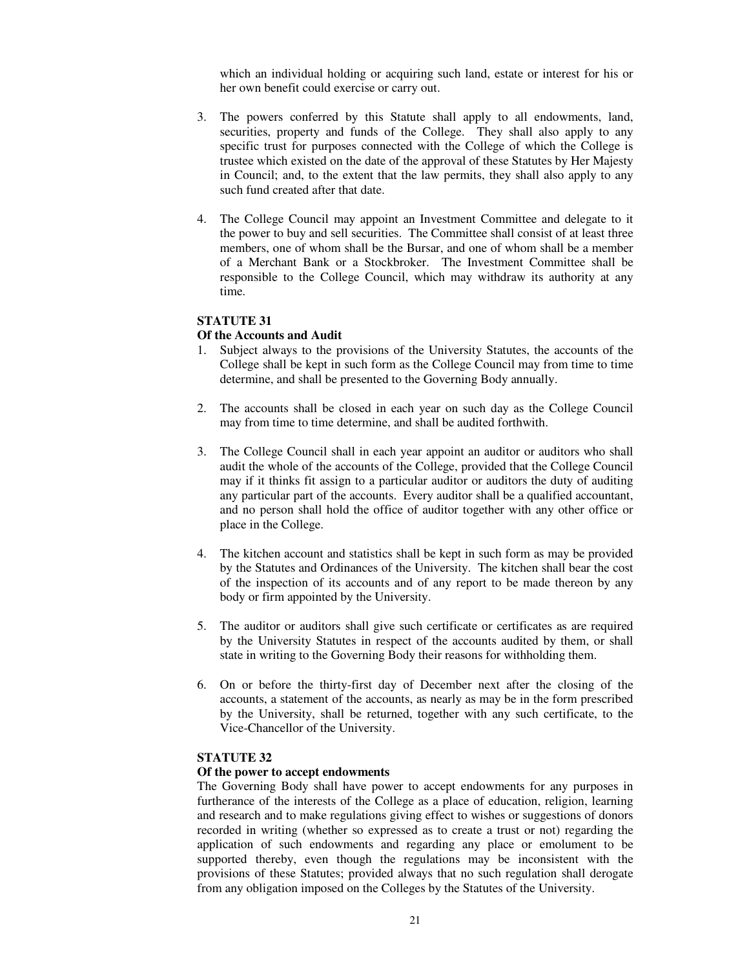which an individual holding or acquiring such land, estate or interest for his or her own benefit could exercise or carry out.

- 3. The powers conferred by this Statute shall apply to all endowments, land, securities, property and funds of the College. They shall also apply to any specific trust for purposes connected with the College of which the College is trustee which existed on the date of the approval of these Statutes by Her Majesty in Council; and, to the extent that the law permits, they shall also apply to any such fund created after that date.
- 4. The College Council may appoint an Investment Committee and delegate to it the power to buy and sell securities. The Committee shall consist of at least three members, one of whom shall be the Bursar, and one of whom shall be a member of a Merchant Bank or a Stockbroker. The Investment Committee shall be responsible to the College Council, which may withdraw its authority at any time.

## **STATUTE 31**

#### **Of the Accounts and Audit**

- 1. Subject always to the provisions of the University Statutes, the accounts of the College shall be kept in such form as the College Council may from time to time determine, and shall be presented to the Governing Body annually.
- 2. The accounts shall be closed in each year on such day as the College Council may from time to time determine, and shall be audited forthwith.
- 3. The College Council shall in each year appoint an auditor or auditors who shall audit the whole of the accounts of the College, provided that the College Council may if it thinks fit assign to a particular auditor or auditors the duty of auditing any particular part of the accounts. Every auditor shall be a qualified accountant, and no person shall hold the office of auditor together with any other office or place in the College.
- 4. The kitchen account and statistics shall be kept in such form as may be provided by the Statutes and Ordinances of the University. The kitchen shall bear the cost of the inspection of its accounts and of any report to be made thereon by any body or firm appointed by the University.
- 5. The auditor or auditors shall give such certificate or certificates as are required by the University Statutes in respect of the accounts audited by them, or shall state in writing to the Governing Body their reasons for withholding them.
- 6. On or before the thirty-first day of December next after the closing of the accounts, a statement of the accounts, as nearly as may be in the form prescribed by the University, shall be returned, together with any such certificate, to the Vice-Chancellor of the University.

#### **STATUTE 32**

#### **Of the power to accept endowments**

The Governing Body shall have power to accept endowments for any purposes in furtherance of the interests of the College as a place of education, religion, learning and research and to make regulations giving effect to wishes or suggestions of donors recorded in writing (whether so expressed as to create a trust or not) regarding the application of such endowments and regarding any place or emolument to be supported thereby, even though the regulations may be inconsistent with the provisions of these Statutes; provided always that no such regulation shall derogate from any obligation imposed on the Colleges by the Statutes of the University.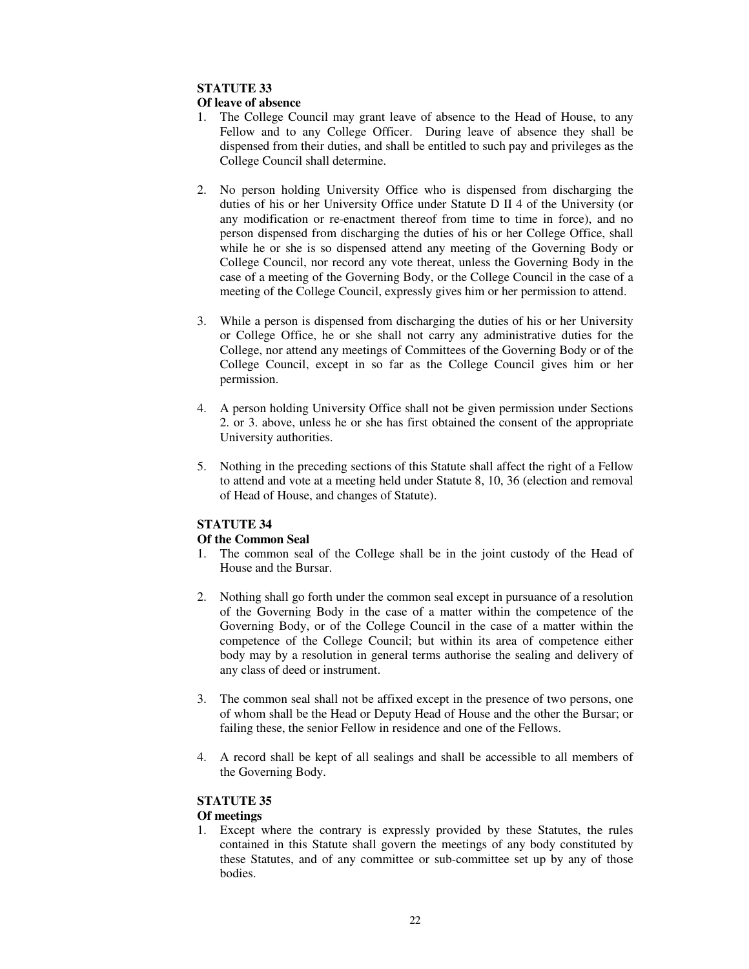## **Of leave of absence**

- 1. The College Council may grant leave of absence to the Head of House, to any Fellow and to any College Officer. During leave of absence they shall be dispensed from their duties, and shall be entitled to such pay and privileges as the College Council shall determine.
- 2. No person holding University Office who is dispensed from discharging the duties of his or her University Office under Statute D II 4 of the University (or any modification or re-enactment thereof from time to time in force), and no person dispensed from discharging the duties of his or her College Office, shall while he or she is so dispensed attend any meeting of the Governing Body or College Council, nor record any vote thereat, unless the Governing Body in the case of a meeting of the Governing Body, or the College Council in the case of a meeting of the College Council, expressly gives him or her permission to attend.
- 3. While a person is dispensed from discharging the duties of his or her University or College Office, he or she shall not carry any administrative duties for the College, nor attend any meetings of Committees of the Governing Body or of the College Council, except in so far as the College Council gives him or her permission.
- 4. A person holding University Office shall not be given permission under Sections 2. or 3. above, unless he or she has first obtained the consent of the appropriate University authorities.
- 5. Nothing in the preceding sections of this Statute shall affect the right of a Fellow to attend and vote at a meeting held under Statute 8, 10, 36 (election and removal of Head of House, and changes of Statute).

# **STATUTE 34**

# **Of the Common Seal**

- 1. The common seal of the College shall be in the joint custody of the Head of House and the Bursar.
- 2. Nothing shall go forth under the common seal except in pursuance of a resolution of the Governing Body in the case of a matter within the competence of the Governing Body, or of the College Council in the case of a matter within the competence of the College Council; but within its area of competence either body may by a resolution in general terms authorise the sealing and delivery of any class of deed or instrument.
- 3. The common seal shall not be affixed except in the presence of two persons, one of whom shall be the Head or Deputy Head of House and the other the Bursar; or failing these, the senior Fellow in residence and one of the Fellows.
- 4. A record shall be kept of all sealings and shall be accessible to all members of the Governing Body.

# **STATUTE 35**

# **Of meetings**

1. Except where the contrary is expressly provided by these Statutes, the rules contained in this Statute shall govern the meetings of any body constituted by these Statutes, and of any committee or sub-committee set up by any of those **bodies**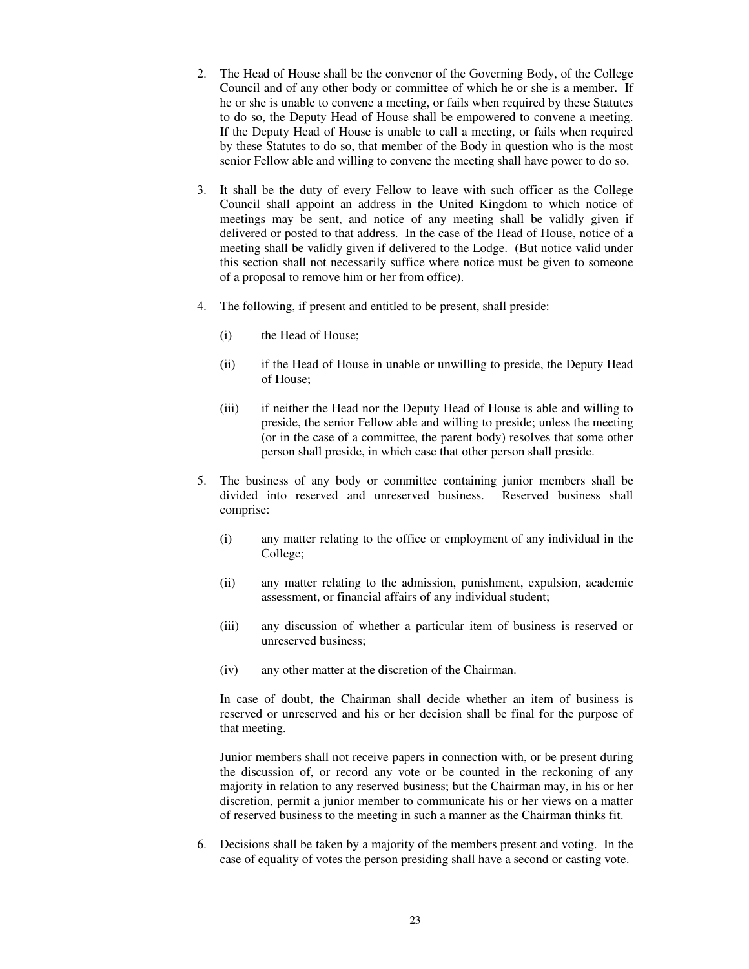- 2. The Head of House shall be the convenor of the Governing Body, of the College Council and of any other body or committee of which he or she is a member. If he or she is unable to convene a meeting, or fails when required by these Statutes to do so, the Deputy Head of House shall be empowered to convene a meeting. If the Deputy Head of House is unable to call a meeting, or fails when required by these Statutes to do so, that member of the Body in question who is the most senior Fellow able and willing to convene the meeting shall have power to do so.
- 3. It shall be the duty of every Fellow to leave with such officer as the College Council shall appoint an address in the United Kingdom to which notice of meetings may be sent, and notice of any meeting shall be validly given if delivered or posted to that address. In the case of the Head of House, notice of a meeting shall be validly given if delivered to the Lodge. (But notice valid under this section shall not necessarily suffice where notice must be given to someone of a proposal to remove him or her from office).
- 4. The following, if present and entitled to be present, shall preside:
	- (i) the Head of House;
	- (ii) if the Head of House in unable or unwilling to preside, the Deputy Head of House;
	- (iii) if neither the Head nor the Deputy Head of House is able and willing to preside, the senior Fellow able and willing to preside; unless the meeting (or in the case of a committee, the parent body) resolves that some other person shall preside, in which case that other person shall preside.
- 5. The business of any body or committee containing junior members shall be divided into reserved and unreserved business. comprise:
	- (i) any matter relating to the office or employment of any individual in the College;
	- (ii) any matter relating to the admission, punishment, expulsion, academic assessment, or financial affairs of any individual student;
	- (iii) any discussion of whether a particular item of business is reserved or unreserved business;
	- (iv) any other matter at the discretion of the Chairman.

In case of doubt, the Chairman shall decide whether an item of business is reserved or unreserved and his or her decision shall be final for the purpose of that meeting.

Junior members shall not receive papers in connection with, or be present during the discussion of, or record any vote or be counted in the reckoning of any majority in relation to any reserved business; but the Chairman may, in his or her discretion, permit a junior member to communicate his or her views on a matter of reserved business to the meeting in such a manner as the Chairman thinks fit.

6. Decisions shall be taken by a majority of the members present and voting. In the case of equality of votes the person presiding shall have a second or casting vote.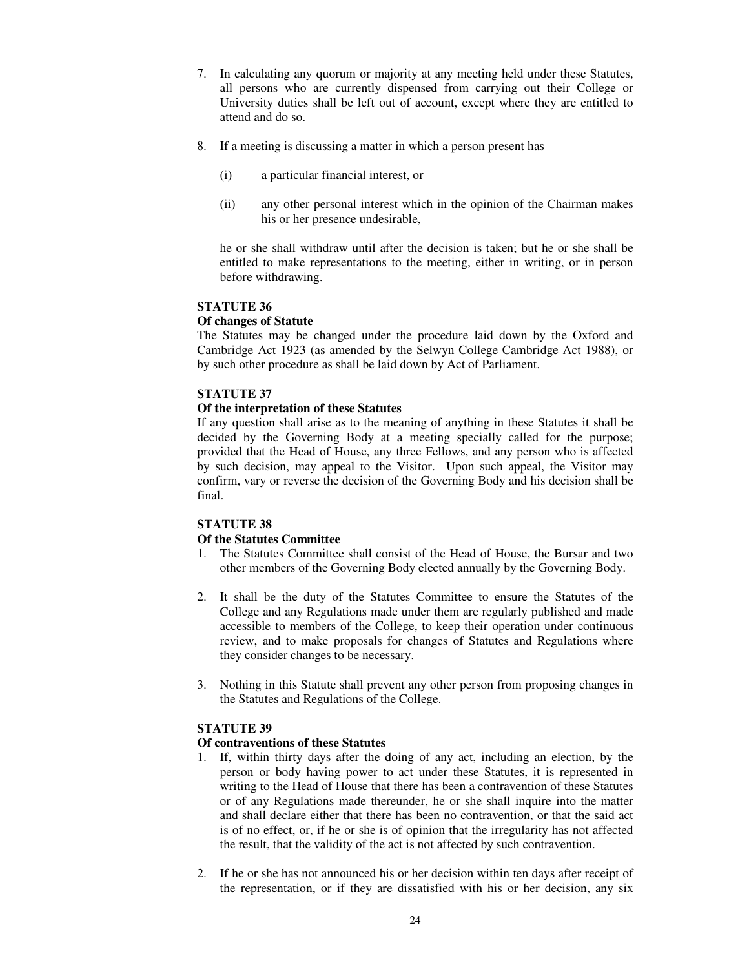- 7. In calculating any quorum or majority at any meeting held under these Statutes, all persons who are currently dispensed from carrying out their College or University duties shall be left out of account, except where they are entitled to attend and do so.
- 8. If a meeting is discussing a matter in which a person present has
	- (i) a particular financial interest, or
	- (ii) any other personal interest which in the opinion of the Chairman makes his or her presence undesirable,

he or she shall withdraw until after the decision is taken; but he or she shall be entitled to make representations to the meeting, either in writing, or in person before withdrawing.

## **STATUTE 36**

#### **Of changes of Statute**

The Statutes may be changed under the procedure laid down by the Oxford and Cambridge Act 1923 (as amended by the Selwyn College Cambridge Act 1988), or by such other procedure as shall be laid down by Act of Parliament.

#### **STATUTE 37**

#### **Of the interpretation of these Statutes**

If any question shall arise as to the meaning of anything in these Statutes it shall be decided by the Governing Body at a meeting specially called for the purpose; provided that the Head of House, any three Fellows, and any person who is affected by such decision, may appeal to the Visitor. Upon such appeal, the Visitor may confirm, vary or reverse the decision of the Governing Body and his decision shall be final.

# **STATUTE 38**

## **Of the Statutes Committee**

- 1. The Statutes Committee shall consist of the Head of House, the Bursar and two other members of the Governing Body elected annually by the Governing Body.
- 2. It shall be the duty of the Statutes Committee to ensure the Statutes of the College and any Regulations made under them are regularly published and made accessible to members of the College, to keep their operation under continuous review, and to make proposals for changes of Statutes and Regulations where they consider changes to be necessary.
- 3. Nothing in this Statute shall prevent any other person from proposing changes in the Statutes and Regulations of the College.

## **STATUTE 39**

## **Of contraventions of these Statutes**

- 1. If, within thirty days after the doing of any act, including an election, by the person or body having power to act under these Statutes, it is represented in writing to the Head of House that there has been a contravention of these Statutes or of any Regulations made thereunder, he or she shall inquire into the matter and shall declare either that there has been no contravention, or that the said act is of no effect, or, if he or she is of opinion that the irregularity has not affected the result, that the validity of the act is not affected by such contravention.
- 2. If he or she has not announced his or her decision within ten days after receipt of the representation, or if they are dissatisfied with his or her decision, any six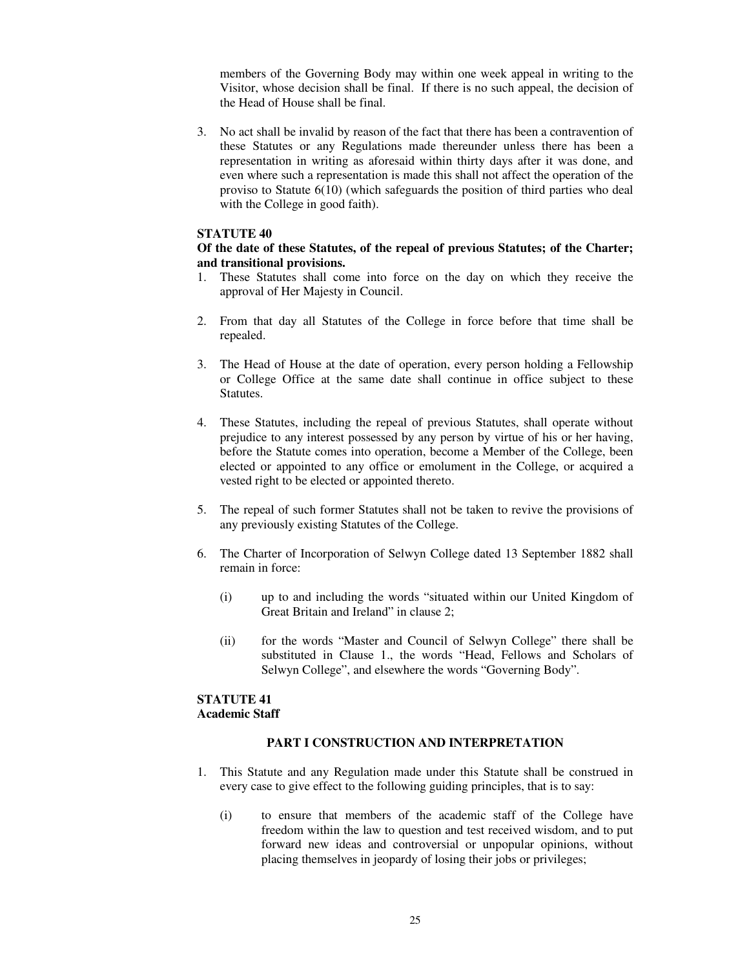members of the Governing Body may within one week appeal in writing to the Visitor, whose decision shall be final. If there is no such appeal, the decision of the Head of House shall be final.

3. No act shall be invalid by reason of the fact that there has been a contravention of these Statutes or any Regulations made thereunder unless there has been a representation in writing as aforesaid within thirty days after it was done, and even where such a representation is made this shall not affect the operation of the proviso to Statute 6(10) (which safeguards the position of third parties who deal with the College in good faith).

#### **STATUTE 40**

#### **Of the date of these Statutes, of the repeal of previous Statutes; of the Charter; and transitional provisions.**

- 1. These Statutes shall come into force on the day on which they receive the approval of Her Majesty in Council.
- 2. From that day all Statutes of the College in force before that time shall be repealed.
- 3. The Head of House at the date of operation, every person holding a Fellowship or College Office at the same date shall continue in office subject to these Statutes.
- 4. These Statutes, including the repeal of previous Statutes, shall operate without prejudice to any interest possessed by any person by virtue of his or her having, before the Statute comes into operation, become a Member of the College, been elected or appointed to any office or emolument in the College, or acquired a vested right to be elected or appointed thereto.
- 5. The repeal of such former Statutes shall not be taken to revive the provisions of any previously existing Statutes of the College.
- 6. The Charter of Incorporation of Selwyn College dated 13 September 1882 shall remain in force:
	- (i) up to and including the words "situated within our United Kingdom of Great Britain and Ireland" in clause 2;
	- (ii) for the words "Master and Council of Selwyn College" there shall be substituted in Clause 1., the words "Head, Fellows and Scholars of Selwyn College", and elsewhere the words "Governing Body".

## **STATUTE 41 Academic Staff**

#### **PART I CONSTRUCTION AND INTERPRETATION**

- 1. This Statute and any Regulation made under this Statute shall be construed in every case to give effect to the following guiding principles, that is to say:
	- (i) to ensure that members of the academic staff of the College have freedom within the law to question and test received wisdom, and to put forward new ideas and controversial or unpopular opinions, without placing themselves in jeopardy of losing their jobs or privileges;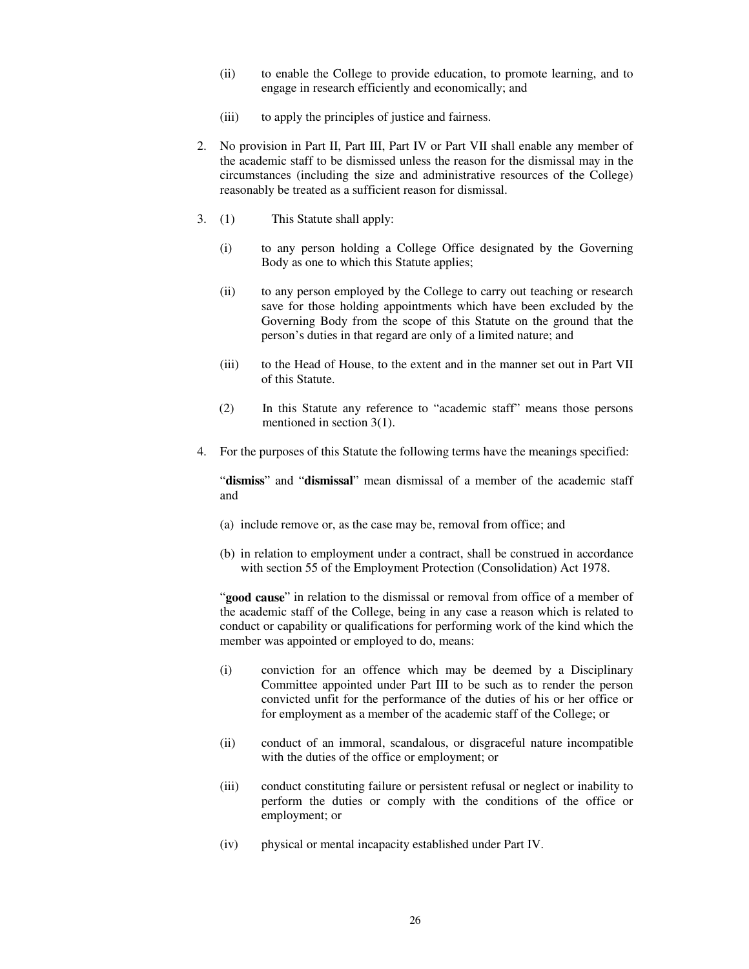- (ii) to enable the College to provide education, to promote learning, and to engage in research efficiently and economically; and
- (iii) to apply the principles of justice and fairness.
- 2. No provision in Part II, Part III, Part IV or Part VII shall enable any member of the academic staff to be dismissed unless the reason for the dismissal may in the circumstances (including the size and administrative resources of the College) reasonably be treated as a sufficient reason for dismissal.
- 3. (1) This Statute shall apply:
	- (i) to any person holding a College Office designated by the Governing Body as one to which this Statute applies;
	- (ii) to any person employed by the College to carry out teaching or research save for those holding appointments which have been excluded by the Governing Body from the scope of this Statute on the ground that the person's duties in that regard are only of a limited nature; and
	- (iii) to the Head of House, to the extent and in the manner set out in Part VII of this Statute.
	- (2) In this Statute any reference to "academic staff" means those persons mentioned in section 3(1).
- 4. For the purposes of this Statute the following terms have the meanings specified:

"**dismiss**" and "**dismissal**" mean dismissal of a member of the academic staff and

- (a) include remove or, as the case may be, removal from office; and
- (b) in relation to employment under a contract, shall be construed in accordance with section 55 of the Employment Protection (Consolidation) Act 1978.

"**good cause**" in relation to the dismissal or removal from office of a member of the academic staff of the College, being in any case a reason which is related to conduct or capability or qualifications for performing work of the kind which the member was appointed or employed to do, means:

- (i) conviction for an offence which may be deemed by a Disciplinary Committee appointed under Part III to be such as to render the person convicted unfit for the performance of the duties of his or her office or for employment as a member of the academic staff of the College; or
- (ii) conduct of an immoral, scandalous, or disgraceful nature incompatible with the duties of the office or employment; or
- (iii) conduct constituting failure or persistent refusal or neglect or inability to perform the duties or comply with the conditions of the office or employment; or
- (iv) physical or mental incapacity established under Part IV.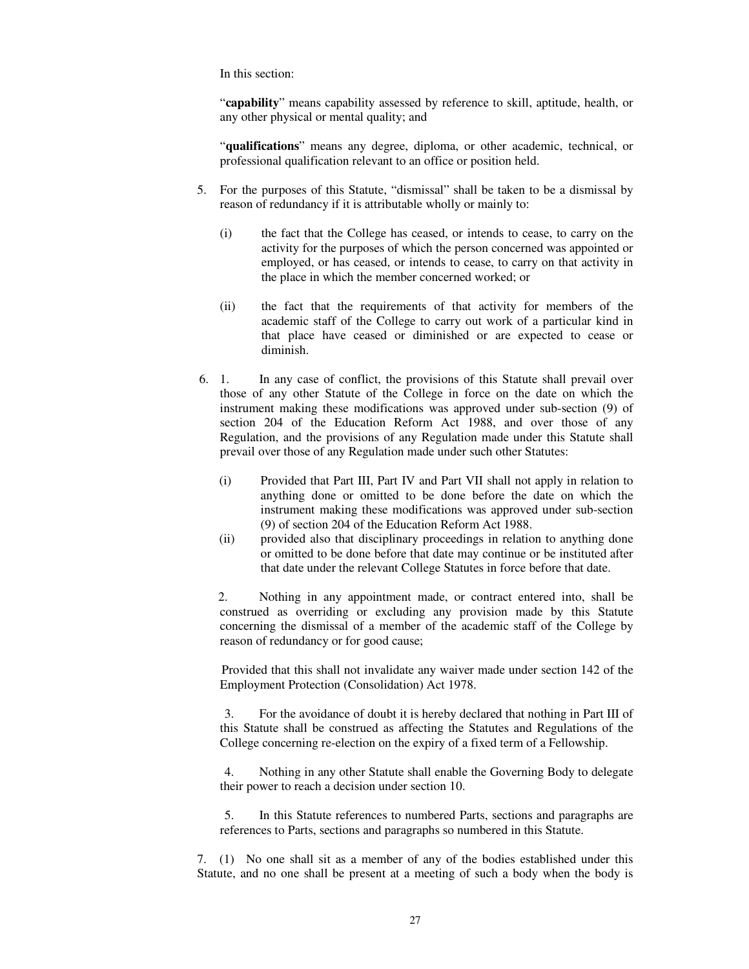In this section:

"**capability**" means capability assessed by reference to skill, aptitude, health, or any other physical or mental quality; and

"**qualifications**" means any degree, diploma, or other academic, technical, or professional qualification relevant to an office or position held.

- 5. For the purposes of this Statute, "dismissal" shall be taken to be a dismissal by reason of redundancy if it is attributable wholly or mainly to:
	- (i) the fact that the College has ceased, or intends to cease, to carry on the activity for the purposes of which the person concerned was appointed or employed, or has ceased, or intends to cease, to carry on that activity in the place in which the member concerned worked; or
	- (ii) the fact that the requirements of that activity for members of the academic staff of the College to carry out work of a particular kind in that place have ceased or diminished or are expected to cease or diminish.
- 6. 1. In any case of conflict, the provisions of this Statute shall prevail over those of any other Statute of the College in force on the date on which the instrument making these modifications was approved under sub-section (9) of section 204 of the Education Reform Act 1988, and over those of any Regulation, and the provisions of any Regulation made under this Statute shall prevail over those of any Regulation made under such other Statutes:
	- (i) Provided that Part III, Part IV and Part VII shall not apply in relation to anything done or omitted to be done before the date on which the instrument making these modifications was approved under sub-section (9) of section 204 of the Education Reform Act 1988.
	- (ii) provided also that disciplinary proceedings in relation to anything done or omitted to be done before that date may continue or be instituted after that date under the relevant College Statutes in force before that date.

 2. Nothing in any appointment made, or contract entered into, shall be construed as overriding or excluding any provision made by this Statute concerning the dismissal of a member of the academic staff of the College by reason of redundancy or for good cause;

Provided that this shall not invalidate any waiver made under section 142 of the Employment Protection (Consolidation) Act 1978.

 3. For the avoidance of doubt it is hereby declared that nothing in Part III of this Statute shall be construed as affecting the Statutes and Regulations of the College concerning re-election on the expiry of a fixed term of a Fellowship.

 4. Nothing in any other Statute shall enable the Governing Body to delegate their power to reach a decision under section 10.

 5. In this Statute references to numbered Parts, sections and paragraphs are references to Parts, sections and paragraphs so numbered in this Statute.

7. (1) No one shall sit as a member of any of the bodies established under this Statute, and no one shall be present at a meeting of such a body when the body is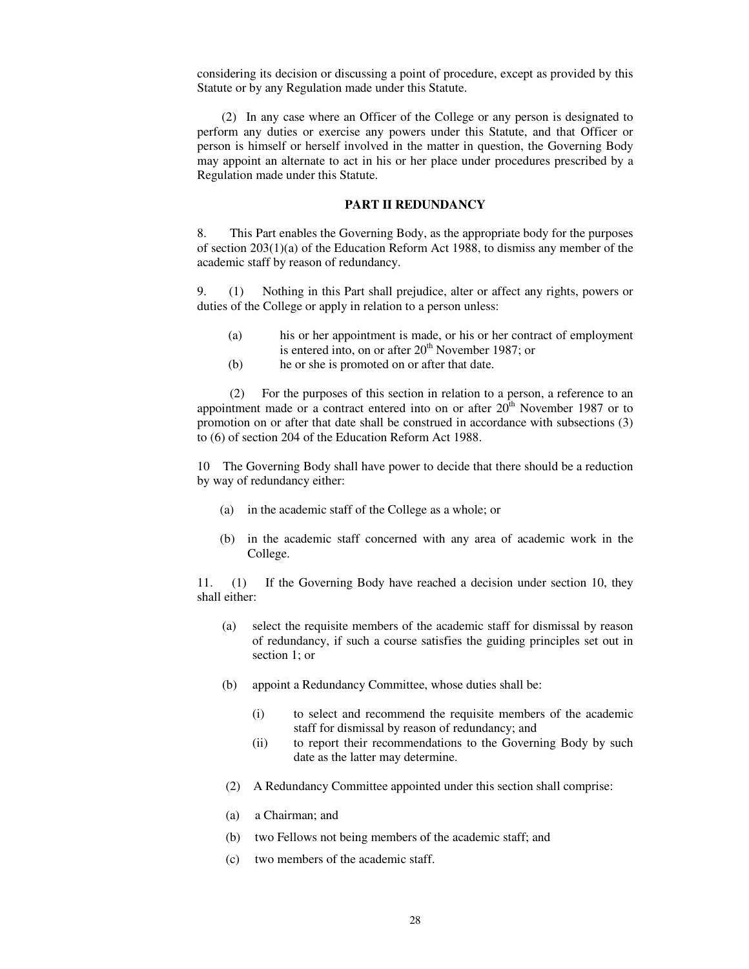considering its decision or discussing a point of procedure, except as provided by this Statute or by any Regulation made under this Statute.

(2) In any case where an Officer of the College or any person is designated to perform any duties or exercise any powers under this Statute, and that Officer or person is himself or herself involved in the matter in question, the Governing Body may appoint an alternate to act in his or her place under procedures prescribed by a Regulation made under this Statute.

#### **PART II REDUNDANCY**

8. This Part enables the Governing Body, as the appropriate body for the purposes of section  $203(1)(a)$  of the Education Reform Act 1988, to dismiss any member of the academic staff by reason of redundancy.

9. (1) Nothing in this Part shall prejudice, alter or affect any rights, powers or duties of the College or apply in relation to a person unless:

- (a) his or her appointment is made, or his or her contract of employment is entered into, on or after  $20<sup>th</sup>$  November 1987; or
- (b) he or she is promoted on or after that date.

(2) For the purposes of this section in relation to a person, a reference to an appointment made or a contract entered into on or after  $20<sup>th</sup>$  November 1987 or to promotion on or after that date shall be construed in accordance with subsections (3) to (6) of section 204 of the Education Reform Act 1988.

10 The Governing Body shall have power to decide that there should be a reduction by way of redundancy either:

- (a) in the academic staff of the College as a whole; or
- (b) in the academic staff concerned with any area of academic work in the College.

11. (1) If the Governing Body have reached a decision under section 10, they shall either:

- (a) select the requisite members of the academic staff for dismissal by reason of redundancy, if such a course satisfies the guiding principles set out in section 1; or
- (b) appoint a Redundancy Committee, whose duties shall be:
	- (i) to select and recommend the requisite members of the academic staff for dismissal by reason of redundancy; and
	- (ii) to report their recommendations to the Governing Body by such date as the latter may determine.
- (2) A Redundancy Committee appointed under this section shall comprise:
- (a) a Chairman; and
- (b) two Fellows not being members of the academic staff; and
- (c) two members of the academic staff.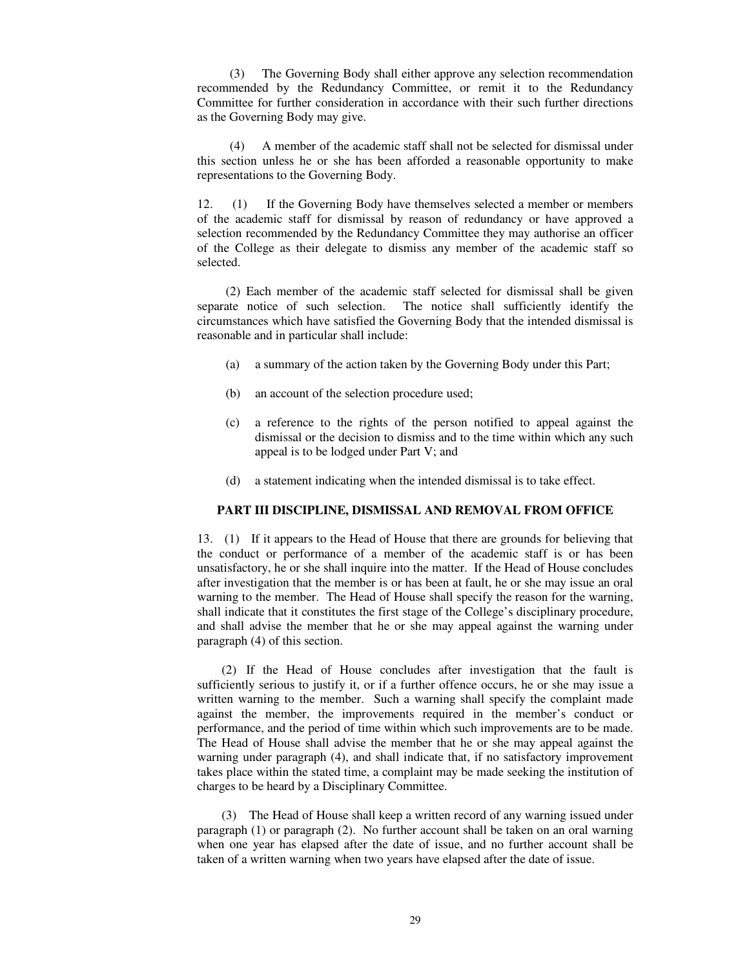(3) The Governing Body shall either approve any selection recommendation recommended by the Redundancy Committee, or remit it to the Redundancy Committee for further consideration in accordance with their such further directions as the Governing Body may give.

(4) A member of the academic staff shall not be selected for dismissal under this section unless he or she has been afforded a reasonable opportunity to make representations to the Governing Body.

12. (1) If the Governing Body have themselves selected a member or members of the academic staff for dismissal by reason of redundancy or have approved a selection recommended by the Redundancy Committee they may authorise an officer of the College as their delegate to dismiss any member of the academic staff so selected.

(2) Each member of the academic staff selected for dismissal shall be given separate notice of such selection. The notice shall sufficiently identify the circumstances which have satisfied the Governing Body that the intended dismissal is reasonable and in particular shall include:

- (a) a summary of the action taken by the Governing Body under this Part;
- (b) an account of the selection procedure used;
- (c) a reference to the rights of the person notified to appeal against the dismissal or the decision to dismiss and to the time within which any such appeal is to be lodged under Part V; and
- (d) a statement indicating when the intended dismissal is to take effect.

#### **PART III DISCIPLINE, DISMISSAL AND REMOVAL FROM OFFICE**

13. (1) If it appears to the Head of House that there are grounds for believing that the conduct or performance of a member of the academic staff is or has been unsatisfactory, he or she shall inquire into the matter. If the Head of House concludes after investigation that the member is or has been at fault, he or she may issue an oral warning to the member. The Head of House shall specify the reason for the warning, shall indicate that it constitutes the first stage of the College's disciplinary procedure, and shall advise the member that he or she may appeal against the warning under paragraph (4) of this section.

(2) If the Head of House concludes after investigation that the fault is sufficiently serious to justify it, or if a further offence occurs, he or she may issue a written warning to the member. Such a warning shall specify the complaint made against the member, the improvements required in the member's conduct or performance, and the period of time within which such improvements are to be made. The Head of House shall advise the member that he or she may appeal against the warning under paragraph (4), and shall indicate that, if no satisfactory improvement takes place within the stated time, a complaint may be made seeking the institution of charges to be heard by a Disciplinary Committee.

(3) The Head of House shall keep a written record of any warning issued under paragraph (1) or paragraph (2). No further account shall be taken on an oral warning when one year has elapsed after the date of issue, and no further account shall be taken of a written warning when two years have elapsed after the date of issue.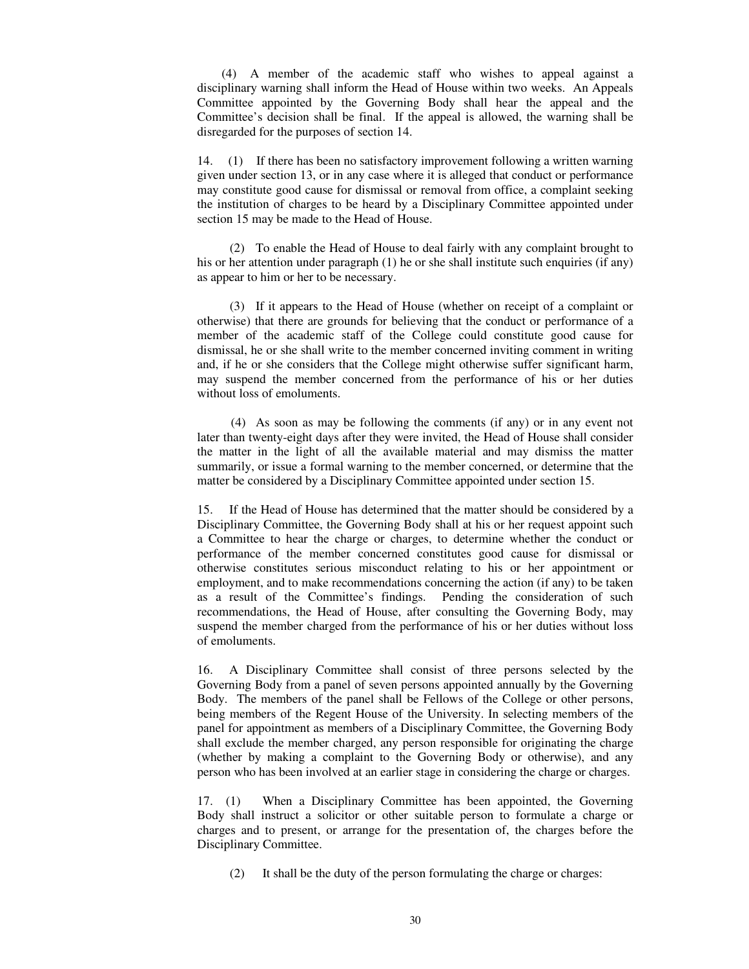(4) A member of the academic staff who wishes to appeal against a disciplinary warning shall inform the Head of House within two weeks. An Appeals Committee appointed by the Governing Body shall hear the appeal and the Committee's decision shall be final. If the appeal is allowed, the warning shall be disregarded for the purposes of section 14.

14. (1) If there has been no satisfactory improvement following a written warning given under section 13, or in any case where it is alleged that conduct or performance may constitute good cause for dismissal or removal from office, a complaint seeking the institution of charges to be heard by a Disciplinary Committee appointed under section 15 may be made to the Head of House.

(2) To enable the Head of House to deal fairly with any complaint brought to his or her attention under paragraph (1) he or she shall institute such enquiries (if any) as appear to him or her to be necessary.

(3) If it appears to the Head of House (whether on receipt of a complaint or otherwise) that there are grounds for believing that the conduct or performance of a member of the academic staff of the College could constitute good cause for dismissal, he or she shall write to the member concerned inviting comment in writing and, if he or she considers that the College might otherwise suffer significant harm, may suspend the member concerned from the performance of his or her duties without loss of emoluments.

(4) As soon as may be following the comments (if any) or in any event not later than twenty-eight days after they were invited, the Head of House shall consider the matter in the light of all the available material and may dismiss the matter summarily, or issue a formal warning to the member concerned, or determine that the matter be considered by a Disciplinary Committee appointed under section 15.

15. If the Head of House has determined that the matter should be considered by a Disciplinary Committee, the Governing Body shall at his or her request appoint such a Committee to hear the charge or charges, to determine whether the conduct or performance of the member concerned constitutes good cause for dismissal or otherwise constitutes serious misconduct relating to his or her appointment or employment, and to make recommendations concerning the action (if any) to be taken as a result of the Committee's findings. Pending the consideration of such recommendations, the Head of House, after consulting the Governing Body, may suspend the member charged from the performance of his or her duties without loss of emoluments.

16. A Disciplinary Committee shall consist of three persons selected by the Governing Body from a panel of seven persons appointed annually by the Governing Body. The members of the panel shall be Fellows of the College or other persons, being members of the Regent House of the University. In selecting members of the panel for appointment as members of a Disciplinary Committee, the Governing Body shall exclude the member charged, any person responsible for originating the charge (whether by making a complaint to the Governing Body or otherwise), and any person who has been involved at an earlier stage in considering the charge or charges.

17. (1) When a Disciplinary Committee has been appointed, the Governing Body shall instruct a solicitor or other suitable person to formulate a charge or charges and to present, or arrange for the presentation of, the charges before the Disciplinary Committee.

(2) It shall be the duty of the person formulating the charge or charges: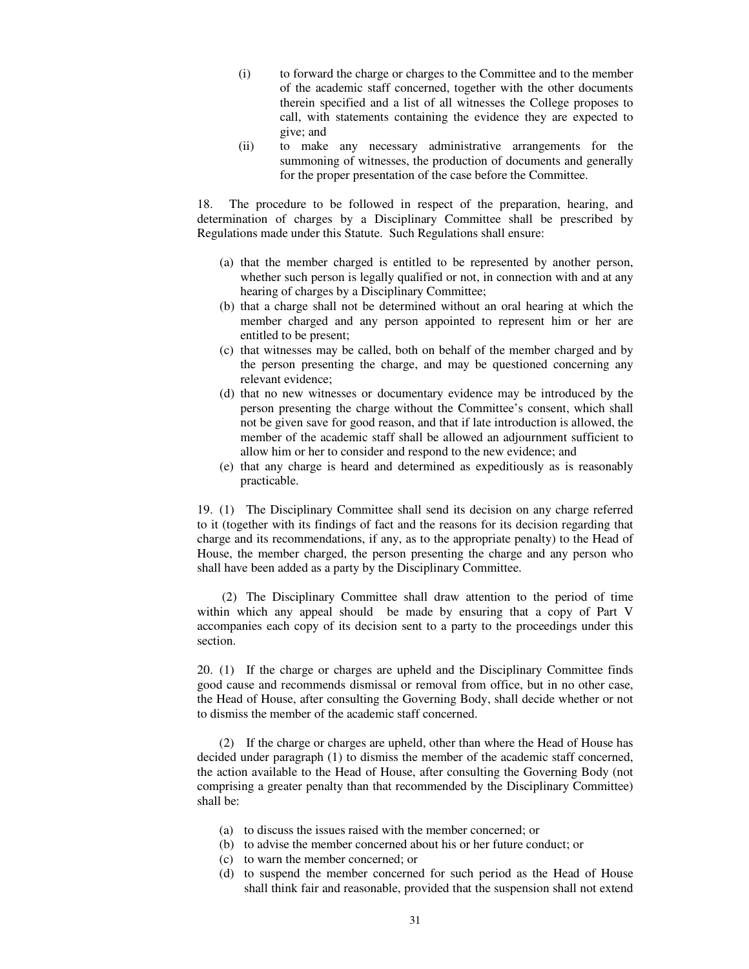- (i) to forward the charge or charges to the Committee and to the member of the academic staff concerned, together with the other documents therein specified and a list of all witnesses the College proposes to call, with statements containing the evidence they are expected to give; and
- (ii) to make any necessary administrative arrangements for the summoning of witnesses, the production of documents and generally for the proper presentation of the case before the Committee.

18. The procedure to be followed in respect of the preparation, hearing, and determination of charges by a Disciplinary Committee shall be prescribed by Regulations made under this Statute. Such Regulations shall ensure:

- (a) that the member charged is entitled to be represented by another person, whether such person is legally qualified or not, in connection with and at any hearing of charges by a Disciplinary Committee;
- (b) that a charge shall not be determined without an oral hearing at which the member charged and any person appointed to represent him or her are entitled to be present;
- (c) that witnesses may be called, both on behalf of the member charged and by the person presenting the charge, and may be questioned concerning any relevant evidence;
- (d) that no new witnesses or documentary evidence may be introduced by the person presenting the charge without the Committee's consent, which shall not be given save for good reason, and that if late introduction is allowed, the member of the academic staff shall be allowed an adjournment sufficient to allow him or her to consider and respond to the new evidence; and
- (e) that any charge is heard and determined as expeditiously as is reasonably practicable.

19. (1) The Disciplinary Committee shall send its decision on any charge referred to it (together with its findings of fact and the reasons for its decision regarding that charge and its recommendations, if any, as to the appropriate penalty) to the Head of House, the member charged, the person presenting the charge and any person who shall have been added as a party by the Disciplinary Committee.

(2) The Disciplinary Committee shall draw attention to the period of time within which any appeal should be made by ensuring that a copy of Part V accompanies each copy of its decision sent to a party to the proceedings under this section.

20. (1) If the charge or charges are upheld and the Disciplinary Committee finds good cause and recommends dismissal or removal from office, but in no other case, the Head of House, after consulting the Governing Body, shall decide whether or not to dismiss the member of the academic staff concerned.

(2) If the charge or charges are upheld, other than where the Head of House has decided under paragraph (1) to dismiss the member of the academic staff concerned, the action available to the Head of House, after consulting the Governing Body (not comprising a greater penalty than that recommended by the Disciplinary Committee) shall be:

- (a) to discuss the issues raised with the member concerned; or
- (b) to advise the member concerned about his or her future conduct; or
- (c) to warn the member concerned; or
- (d) to suspend the member concerned for such period as the Head of House shall think fair and reasonable, provided that the suspension shall not extend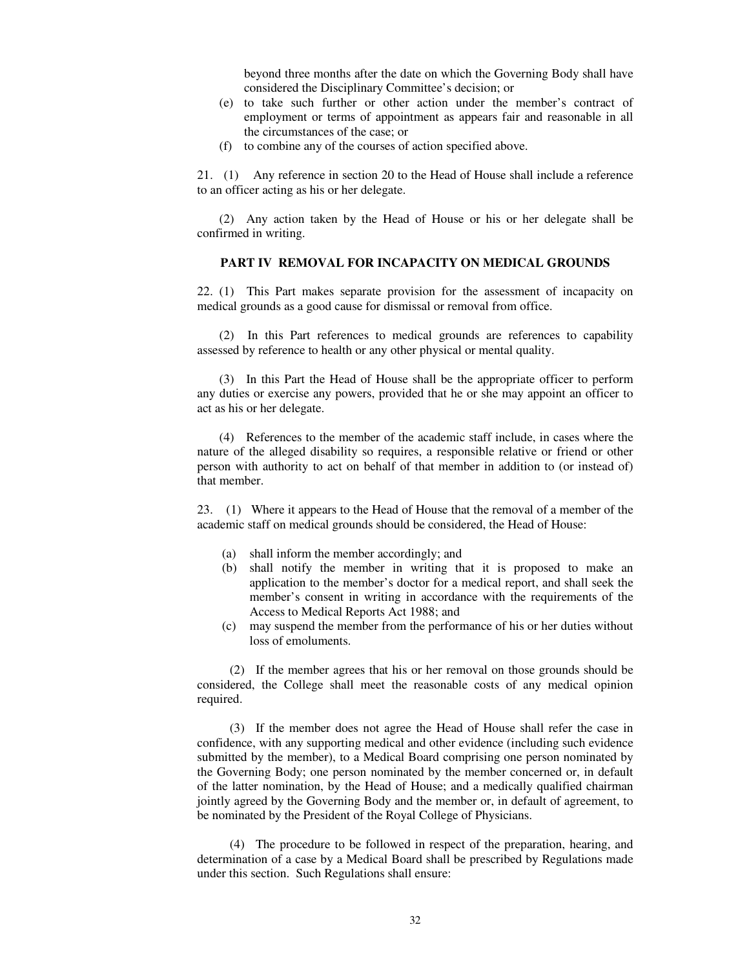beyond three months after the date on which the Governing Body shall have considered the Disciplinary Committee's decision; or

- (e) to take such further or other action under the member's contract of employment or terms of appointment as appears fair and reasonable in all the circumstances of the case; or
- (f) to combine any of the courses of action specified above.

21. (1) Any reference in section 20 to the Head of House shall include a reference to an officer acting as his or her delegate.

(2) Any action taken by the Head of House or his or her delegate shall be confirmed in writing.

## **PART IV REMOVAL FOR INCAPACITY ON MEDICAL GROUNDS**

22. (1) This Part makes separate provision for the assessment of incapacity on medical grounds as a good cause for dismissal or removal from office.

(2) In this Part references to medical grounds are references to capability assessed by reference to health or any other physical or mental quality.

(3) In this Part the Head of House shall be the appropriate officer to perform any duties or exercise any powers, provided that he or she may appoint an officer to act as his or her delegate.

(4) References to the member of the academic staff include, in cases where the nature of the alleged disability so requires, a responsible relative or friend or other person with authority to act on behalf of that member in addition to (or instead of) that member.

23. (1) Where it appears to the Head of House that the removal of a member of the academic staff on medical grounds should be considered, the Head of House:

- (a) shall inform the member accordingly; and
- (b) shall notify the member in writing that it is proposed to make an application to the member's doctor for a medical report, and shall seek the member's consent in writing in accordance with the requirements of the Access to Medical Reports Act 1988; and
- (c) may suspend the member from the performance of his or her duties without loss of emoluments.

(2) If the member agrees that his or her removal on those grounds should be considered, the College shall meet the reasonable costs of any medical opinion required.

(3) If the member does not agree the Head of House shall refer the case in confidence, with any supporting medical and other evidence (including such evidence submitted by the member), to a Medical Board comprising one person nominated by the Governing Body; one person nominated by the member concerned or, in default of the latter nomination, by the Head of House; and a medically qualified chairman jointly agreed by the Governing Body and the member or, in default of agreement, to be nominated by the President of the Royal College of Physicians.

(4) The procedure to be followed in respect of the preparation, hearing, and determination of a case by a Medical Board shall be prescribed by Regulations made under this section. Such Regulations shall ensure: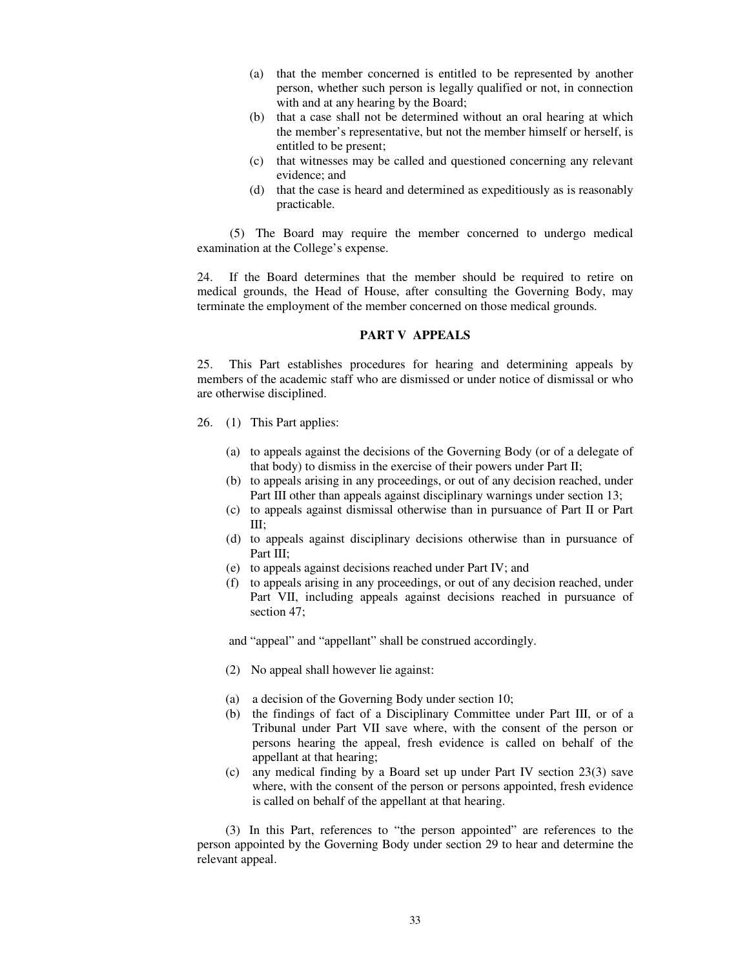- (a) that the member concerned is entitled to be represented by another person, whether such person is legally qualified or not, in connection with and at any hearing by the Board;
- (b) that a case shall not be determined without an oral hearing at which the member's representative, but not the member himself or herself, is entitled to be present;
- (c) that witnesses may be called and questioned concerning any relevant evidence; and
- (d) that the case is heard and determined as expeditiously as is reasonably practicable.

(5) The Board may require the member concerned to undergo medical examination at the College's expense.

24. If the Board determines that the member should be required to retire on medical grounds, the Head of House, after consulting the Governing Body, may terminate the employment of the member concerned on those medical grounds.

#### **PART V APPEALS**

25. This Part establishes procedures for hearing and determining appeals by members of the academic staff who are dismissed or under notice of dismissal or who are otherwise disciplined.

- 26. (1) This Part applies:
	- (a) to appeals against the decisions of the Governing Body (or of a delegate of that body) to dismiss in the exercise of their powers under Part II;
	- (b) to appeals arising in any proceedings, or out of any decision reached, under Part III other than appeals against disciplinary warnings under section 13;
	- (c) to appeals against dismissal otherwise than in pursuance of Part II or Part III;
	- (d) to appeals against disciplinary decisions otherwise than in pursuance of Part III;
	- (e) to appeals against decisions reached under Part IV; and
	- (f) to appeals arising in any proceedings, or out of any decision reached, under Part VII, including appeals against decisions reached in pursuance of section 47;

and "appeal" and "appellant" shall be construed accordingly.

- (2) No appeal shall however lie against:
- (a) a decision of the Governing Body under section 10;
- (b) the findings of fact of a Disciplinary Committee under Part III, or of a Tribunal under Part VII save where, with the consent of the person or persons hearing the appeal, fresh evidence is called on behalf of the appellant at that hearing;
- (c) any medical finding by a Board set up under Part IV section 23(3) save where, with the consent of the person or persons appointed, fresh evidence is called on behalf of the appellant at that hearing.

(3) In this Part, references to "the person appointed" are references to the person appointed by the Governing Body under section 29 to hear and determine the relevant appeal.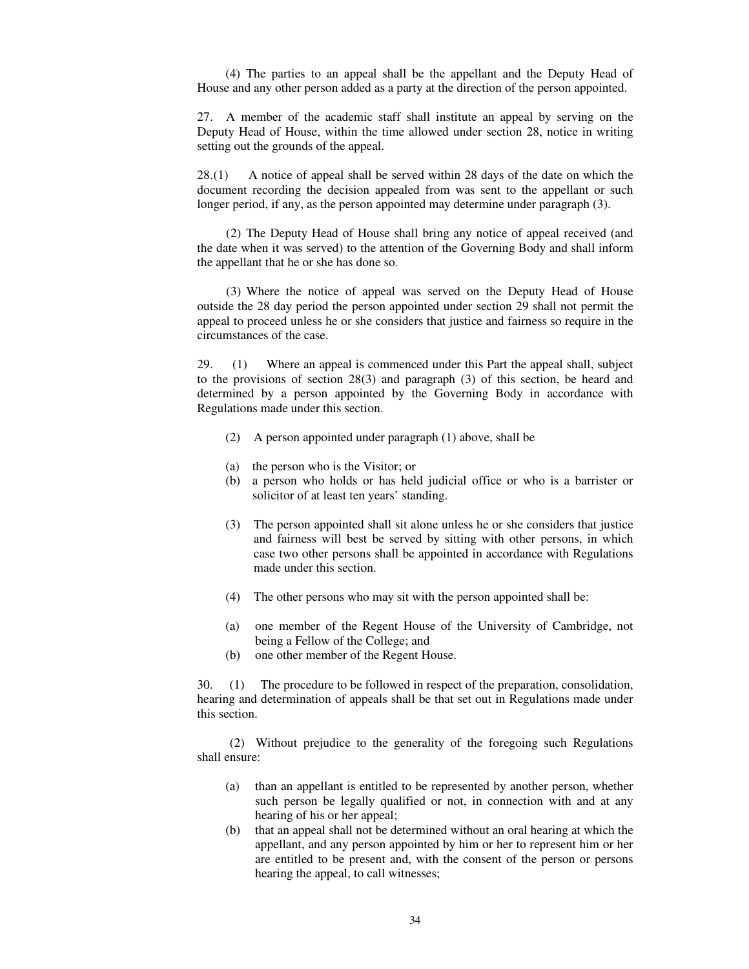(4) The parties to an appeal shall be the appellant and the Deputy Head of House and any other person added as a party at the direction of the person appointed.

27. A member of the academic staff shall institute an appeal by serving on the Deputy Head of House, within the time allowed under section 28, notice in writing setting out the grounds of the appeal.

28. (1) A notice of appeal shall be served within 28 days of the date on which the document recording the decision appealed from was sent to the appellant or such longer period, if any, as the person appointed may determine under paragraph (3).

(2) The Deputy Head of House shall bring any notice of appeal received (and the date when it was served) to the attention of the Governing Body and shall inform the appellant that he or she has done so.

(3) Where the notice of appeal was served on the Deputy Head of House outside the 28 day period the person appointed under section 29 shall not permit the appeal to proceed unless he or she considers that justice and fairness so require in the circumstances of the case.

29. (1) Where an appeal is commenced under this Part the appeal shall, subject to the provisions of section 28(3) and paragraph (3) of this section, be heard and determined by a person appointed by the Governing Body in accordance with Regulations made under this section.

- (2) A person appointed under paragraph (1) above, shall be
- (a) the person who is the Visitor; or
- (b) a person who holds or has held judicial office or who is a barrister or solicitor of at least ten years' standing.
- (3) The person appointed shall sit alone unless he or she considers that justice and fairness will best be served by sitting with other persons, in which case two other persons shall be appointed in accordance with Regulations made under this section.
- (4) The other persons who may sit with the person appointed shall be:
- (a) one member of the Regent House of the University of Cambridge, not being a Fellow of the College; and
- (b) one other member of the Regent House.

30. (1) The procedure to be followed in respect of the preparation, consolidation, hearing and determination of appeals shall be that set out in Regulations made under this section.

(2) Without prejudice to the generality of the foregoing such Regulations shall ensure:

- (a) than an appellant is entitled to be represented by another person, whether such person be legally qualified or not, in connection with and at any hearing of his or her appeal;
- (b) that an appeal shall not be determined without an oral hearing at which the appellant, and any person appointed by him or her to represent him or her are entitled to be present and, with the consent of the person or persons hearing the appeal, to call witnesses;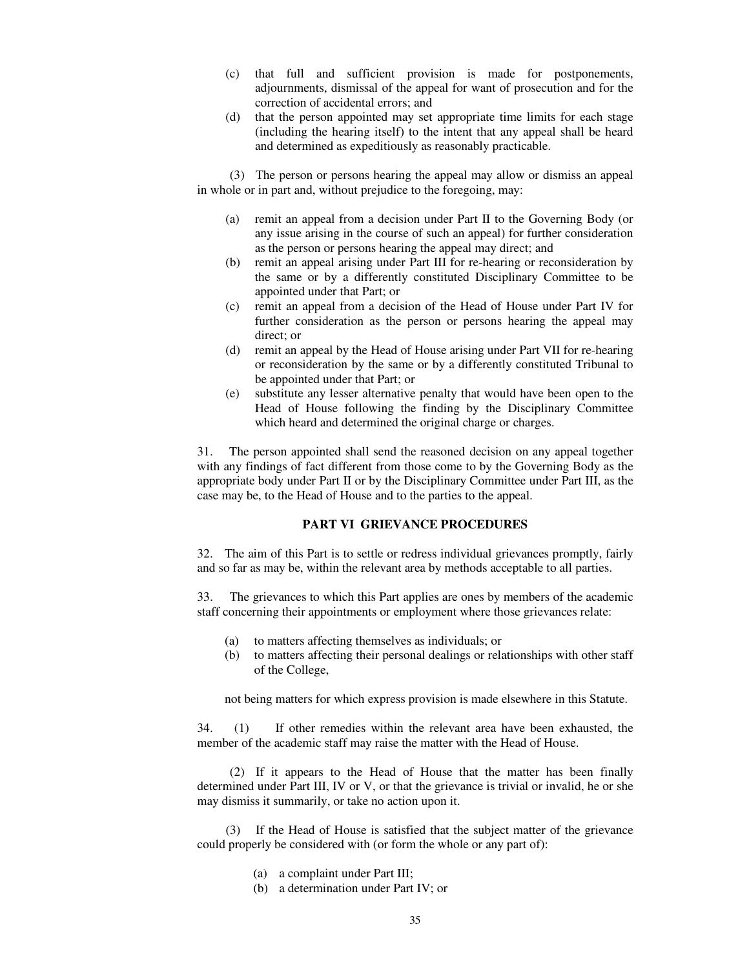- (c) that full and sufficient provision is made for postponements, adjournments, dismissal of the appeal for want of prosecution and for the correction of accidental errors; and
- (d) that the person appointed may set appropriate time limits for each stage (including the hearing itself) to the intent that any appeal shall be heard and determined as expeditiously as reasonably practicable.

(3) The person or persons hearing the appeal may allow or dismiss an appeal in whole or in part and, without prejudice to the foregoing, may:

- (a) remit an appeal from a decision under Part II to the Governing Body (or any issue arising in the course of such an appeal) for further consideration as the person or persons hearing the appeal may direct; and
- (b) remit an appeal arising under Part III for re-hearing or reconsideration by the same or by a differently constituted Disciplinary Committee to be appointed under that Part; or
- (c) remit an appeal from a decision of the Head of House under Part IV for further consideration as the person or persons hearing the appeal may direct; or
- (d) remit an appeal by the Head of House arising under Part VII for re-hearing or reconsideration by the same or by a differently constituted Tribunal to be appointed under that Part; or
- (e) substitute any lesser alternative penalty that would have been open to the Head of House following the finding by the Disciplinary Committee which heard and determined the original charge or charges.

31. The person appointed shall send the reasoned decision on any appeal together with any findings of fact different from those come to by the Governing Body as the appropriate body under Part II or by the Disciplinary Committee under Part III, as the case may be, to the Head of House and to the parties to the appeal.

## **PART VI GRIEVANCE PROCEDURES**

32. The aim of this Part is to settle or redress individual grievances promptly, fairly and so far as may be, within the relevant area by methods acceptable to all parties.

33. The grievances to which this Part applies are ones by members of the academic staff concerning their appointments or employment where those grievances relate:

- (a) to matters affecting themselves as individuals; or
- (b) to matters affecting their personal dealings or relationships with other staff of the College,

not being matters for which express provision is made elsewhere in this Statute.

34. (1) If other remedies within the relevant area have been exhausted, the member of the academic staff may raise the matter with the Head of House.

(2) If it appears to the Head of House that the matter has been finally determined under Part III, IV or V, or that the grievance is trivial or invalid, he or she may dismiss it summarily, or take no action upon it.

(3) If the Head of House is satisfied that the subject matter of the grievance could properly be considered with (or form the whole or any part of):

- (a) a complaint under Part III;
- (b) a determination under Part IV; or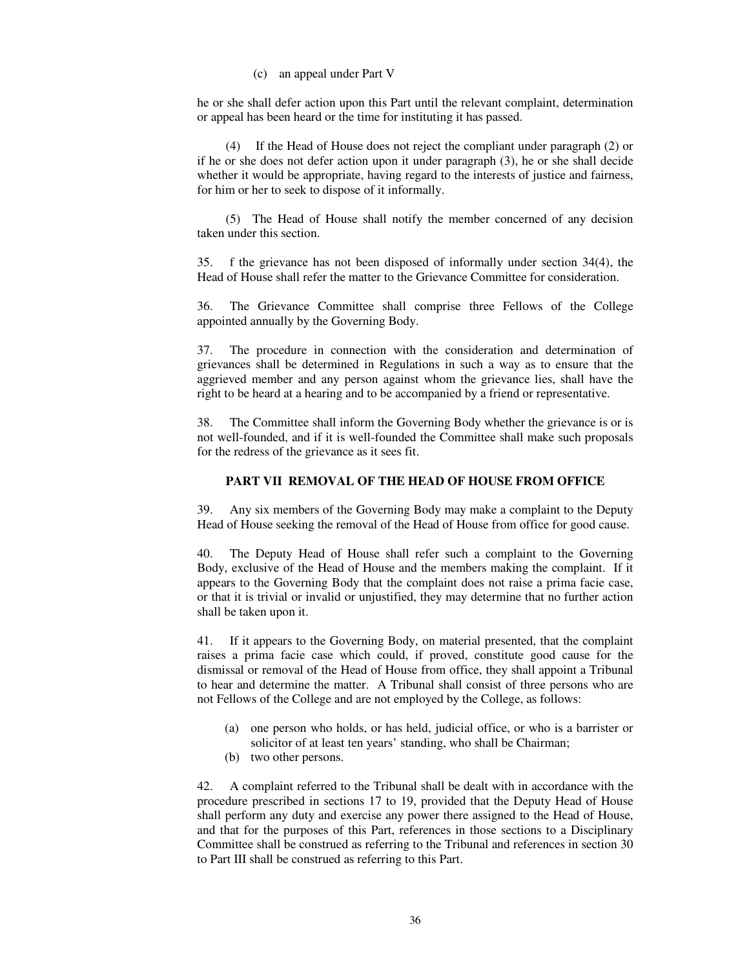(c) an appeal under Part V

he or she shall defer action upon this Part until the relevant complaint, determination or appeal has been heard or the time for instituting it has passed.

(4) If the Head of House does not reject the compliant under paragraph (2) or if he or she does not defer action upon it under paragraph (3), he or she shall decide whether it would be appropriate, having regard to the interests of justice and fairness, for him or her to seek to dispose of it informally.

(5) The Head of House shall notify the member concerned of any decision taken under this section.

35. f the grievance has not been disposed of informally under section 34(4), the Head of House shall refer the matter to the Grievance Committee for consideration.

36. The Grievance Committee shall comprise three Fellows of the College appointed annually by the Governing Body.

37. The procedure in connection with the consideration and determination of grievances shall be determined in Regulations in such a way as to ensure that the aggrieved member and any person against whom the grievance lies, shall have the right to be heard at a hearing and to be accompanied by a friend or representative.

38. The Committee shall inform the Governing Body whether the grievance is or is not well-founded, and if it is well-founded the Committee shall make such proposals for the redress of the grievance as it sees fit.

#### **PART VII REMOVAL OF THE HEAD OF HOUSE FROM OFFICE**

39. Any six members of the Governing Body may make a complaint to the Deputy Head of House seeking the removal of the Head of House from office for good cause.

40. The Deputy Head of House shall refer such a complaint to the Governing Body, exclusive of the Head of House and the members making the complaint. If it appears to the Governing Body that the complaint does not raise a prima facie case, or that it is trivial or invalid or unjustified, they may determine that no further action shall be taken upon it.

41. If it appears to the Governing Body, on material presented, that the complaint raises a prima facie case which could, if proved, constitute good cause for the dismissal or removal of the Head of House from office, they shall appoint a Tribunal to hear and determine the matter. A Tribunal shall consist of three persons who are not Fellows of the College and are not employed by the College, as follows:

- (a) one person who holds, or has held, judicial office, or who is a barrister or solicitor of at least ten years' standing, who shall be Chairman;
- (b) two other persons.

42. A complaint referred to the Tribunal shall be dealt with in accordance with the procedure prescribed in sections 17 to 19, provided that the Deputy Head of House shall perform any duty and exercise any power there assigned to the Head of House, and that for the purposes of this Part, references in those sections to a Disciplinary Committee shall be construed as referring to the Tribunal and references in section 30 to Part III shall be construed as referring to this Part.